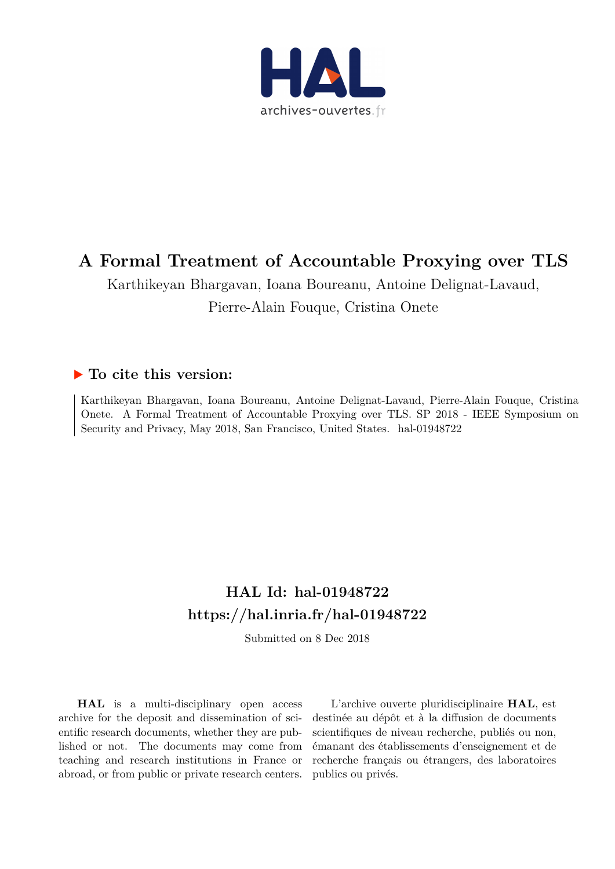

# **A Formal Treatment of Accountable Proxying over TLS**

Karthikeyan Bhargavan, Ioana Boureanu, Antoine Delignat-Lavaud, Pierre-Alain Fouque, Cristina Onete

## **To cite this version:**

Karthikeyan Bhargavan, Ioana Boureanu, Antoine Delignat-Lavaud, Pierre-Alain Fouque, Cristina Onete. A Formal Treatment of Accountable Proxying over TLS. SP 2018 - IEEE Symposium on Security and Privacy, May 2018, San Francisco, United States. hal-01948722

# **HAL Id: hal-01948722 <https://hal.inria.fr/hal-01948722>**

Submitted on 8 Dec 2018

**HAL** is a multi-disciplinary open access archive for the deposit and dissemination of scientific research documents, whether they are published or not. The documents may come from teaching and research institutions in France or abroad, or from public or private research centers.

L'archive ouverte pluridisciplinaire **HAL**, est destinée au dépôt et à la diffusion de documents scientifiques de niveau recherche, publiés ou non, émanant des établissements d'enseignement et de recherche français ou étrangers, des laboratoires publics ou privés.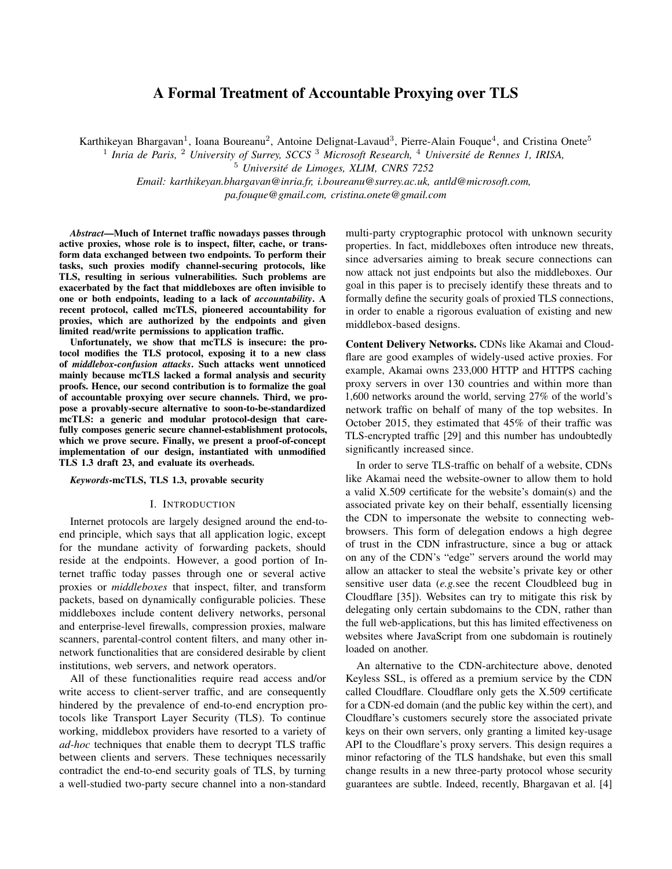## A Formal Treatment of Accountable Proxying over TLS

Karthikeyan Bhargavan<sup>1</sup>, Ioana Boureanu<sup>2</sup>, Antoine Delignat-Lavaud<sup>3</sup>, Pierre-Alain Fouque<sup>4</sup>, and Cristina Onete<sup>5</sup>

1 *Inria de Paris,* <sup>2</sup> *University of Surrey, SCCS* <sup>3</sup> *Microsoft Research,* <sup>4</sup> *Universite de Rennes 1, IRISA, ´*

<sup>5</sup> *Universite de Limoges, XLIM, CNRS 7252 ´*

*Email: karthikeyan.bhargavan@inria.fr, i.boureanu@surrey.ac.uk, antld@microsoft.com, pa.fouque@gmail.com, cristina.onete@gmail.com*

*Abstract*—Much of Internet traffic nowadays passes through active proxies, whose role is to inspect, filter, cache, or transform data exchanged between two endpoints. To perform their tasks, such proxies modify channel-securing protocols, like TLS, resulting in serious vulnerabilities. Such problems are exacerbated by the fact that middleboxes are often invisible to one or both endpoints, leading to a lack of *accountability*. A recent protocol, called mcTLS, pioneered accountability for proxies, which are authorized by the endpoints and given limited read/write permissions to application traffic.

Unfortunately, we show that mcTLS is insecure: the protocol modifies the TLS protocol, exposing it to a new class of *middlebox-confusion attacks*. Such attacks went unnoticed mainly because mcTLS lacked a formal analysis and security proofs. Hence, our second contribution is to formalize the goal of accountable proxying over secure channels. Third, we propose a provably-secure alternative to soon-to-be-standardized mcTLS: a generic and modular protocol-design that carefully composes generic secure channel-establishment protocols, which we prove secure. Finally, we present a proof-of-concept implementation of our design, instantiated with unmodified TLS 1.3 draft 23, and evaluate its overheads.

#### *Keywords*-mcTLS, TLS 1.3, provable security

### I. INTRODUCTION

Internet protocols are largely designed around the end-toend principle, which says that all application logic, except for the mundane activity of forwarding packets, should reside at the endpoints. However, a good portion of Internet traffic today passes through one or several active proxies or *middleboxes* that inspect, filter, and transform packets, based on dynamically configurable policies. These middleboxes include content delivery networks, personal and enterprise-level firewalls, compression proxies, malware scanners, parental-control content filters, and many other innetwork functionalities that are considered desirable by client institutions, web servers, and network operators.

All of these functionalities require read access and/or write access to client-server traffic, and are consequently hindered by the prevalence of end-to-end encryption protocols like Transport Layer Security (TLS). To continue working, middlebox providers have resorted to a variety of *ad-hoc* techniques that enable them to decrypt TLS traffic between clients and servers. These techniques necessarily contradict the end-to-end security goals of TLS, by turning a well-studied two-party secure channel into a non-standard

multi-party cryptographic protocol with unknown security properties. In fact, middleboxes often introduce new threats, since adversaries aiming to break secure connections can now attack not just endpoints but also the middleboxes. Our goal in this paper is to precisely identify these threats and to formally define the security goals of proxied TLS connections, in order to enable a rigorous evaluation of existing and new middlebox-based designs.

Content Delivery Networks. CDNs like Akamai and Cloudflare are good examples of widely-used active proxies. For example, Akamai owns 233,000 HTTP and HTTPS caching proxy servers in over 130 countries and within more than 1,600 networks around the world, serving 27% of the world's network traffic on behalf of many of the top websites. In October 2015, they estimated that 45% of their traffic was TLS-encrypted traffic [29] and this number has undoubtedly significantly increased since.

In order to serve TLS-traffic on behalf of a website, CDNs like Akamai need the website-owner to allow them to hold a valid X.509 certificate for the website's domain(s) and the associated private key on their behalf, essentially licensing the CDN to impersonate the website to connecting webbrowsers. This form of delegation endows a high degree of trust in the CDN infrastructure, since a bug or attack on any of the CDN's "edge" servers around the world may allow an attacker to steal the website's private key or other sensitive user data (*e.g.*see the recent Cloudbleed bug in Cloudflare [35]). Websites can try to mitigate this risk by delegating only certain subdomains to the CDN, rather than the full web-applications, but this has limited effectiveness on websites where JavaScript from one subdomain is routinely loaded on another.

An alternative to the CDN-architecture above, denoted Keyless SSL, is offered as a premium service by the CDN called Cloudflare. Cloudflare only gets the X.509 certificate for a CDN-ed domain (and the public key within the cert), and Cloudflare's customers securely store the associated private keys on their own servers, only granting a limited key-usage API to the Cloudflare's proxy servers. This design requires a minor refactoring of the TLS handshake, but even this small change results in a new three-party protocol whose security guarantees are subtle. Indeed, recently, Bhargavan et al. [4]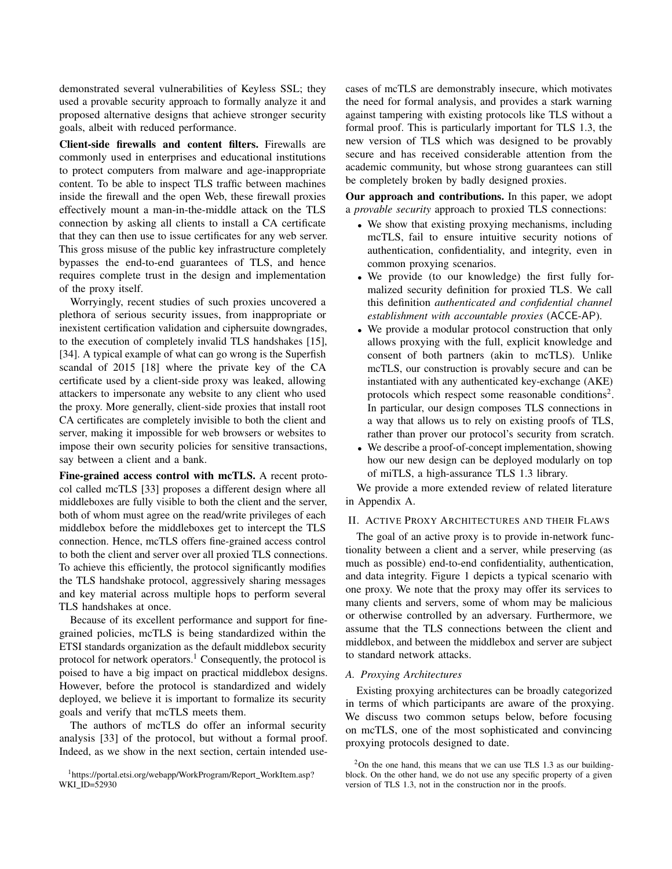demonstrated several vulnerabilities of Keyless SSL; they used a provable security approach to formally analyze it and proposed alternative designs that achieve stronger security goals, albeit with reduced performance.

Client-side firewalls and content filters. Firewalls are commonly used in enterprises and educational institutions to protect computers from malware and age-inappropriate content. To be able to inspect TLS traffic between machines inside the firewall and the open Web, these firewall proxies effectively mount a man-in-the-middle attack on the TLS connection by asking all clients to install a CA certificate that they can then use to issue certificates for any web server. This gross misuse of the public key infrastructure completely bypasses the end-to-end guarantees of TLS, and hence requires complete trust in the design and implementation of the proxy itself.

Worryingly, recent studies of such proxies uncovered a plethora of serious security issues, from inappropriate or inexistent certification validation and ciphersuite downgrades, to the execution of completely invalid TLS handshakes [15], [34]. A typical example of what can go wrong is the Superfish scandal of 2015 [18] where the private key of the CA certificate used by a client-side proxy was leaked, allowing attackers to impersonate any website to any client who used the proxy. More generally, client-side proxies that install root CA certificates are completely invisible to both the client and server, making it impossible for web browsers or websites to impose their own security policies for sensitive transactions, say between a client and a bank.

Fine-grained access control with mcTLS. A recent protocol called mcTLS [33] proposes a different design where all middleboxes are fully visible to both the client and the server, both of whom must agree on the read/write privileges of each middlebox before the middleboxes get to intercept the TLS connection. Hence, mcTLS offers fine-grained access control to both the client and server over all proxied TLS connections. To achieve this efficiently, the protocol significantly modifies the TLS handshake protocol, aggressively sharing messages and key material across multiple hops to perform several TLS handshakes at once.

Because of its excellent performance and support for finegrained policies, mcTLS is being standardized within the ETSI standards organization as the default middlebox security protocol for network operators.<sup>1</sup> Consequently, the protocol is poised to have a big impact on practical middlebox designs. However, before the protocol is standardized and widely deployed, we believe it is important to formalize its security goals and verify that mcTLS meets them.

The authors of mcTLS do offer an informal security analysis [33] of the protocol, but without a formal proof. Indeed, as we show in the next section, certain intended usecases of mcTLS are demonstrably insecure, which motivates the need for formal analysis, and provides a stark warning against tampering with existing protocols like TLS without a formal proof. This is particularly important for TLS 1.3, the new version of TLS which was designed to be provably secure and has received considerable attention from the academic community, but whose strong guarantees can still be completely broken by badly designed proxies.

Our approach and contributions. In this paper, we adopt a *provable security* approach to proxied TLS connections:

- We show that existing proxying mechanisms, including mcTLS, fail to ensure intuitive security notions of authentication, confidentiality, and integrity, even in common proxying scenarios.
- We provide (to our knowledge) the first fully formalized security definition for proxied TLS. We call this definition *authenticated and confidential channel establishment with accountable proxies* (ACCE-AP).
- We provide a modular protocol construction that only allows proxying with the full, explicit knowledge and consent of both partners (akin to mcTLS). Unlike mcTLS, our construction is provably secure and can be instantiated with any authenticated key-exchange (AKE) protocols which respect some reasonable conditions<sup>2</sup>. In particular, our design composes TLS connections in a way that allows us to rely on existing proofs of TLS, rather than prover our protocol's security from scratch.
- We describe a proof-of-concept implementation, showing how our new design can be deployed modularly on top of miTLS, a high-assurance TLS 1.3 library.

We provide a more extended review of related literature in Appendix A.

## II. ACTIVE PROXY ARCHITECTURES AND THEIR FLAWS

The goal of an active proxy is to provide in-network functionality between a client and a server, while preserving (as much as possible) end-to-end confidentiality, authentication, and data integrity. Figure 1 depicts a typical scenario with one proxy. We note that the proxy may offer its services to many clients and servers, some of whom may be malicious or otherwise controlled by an adversary. Furthermore, we assume that the TLS connections between the client and middlebox, and between the middlebox and server are subject to standard network attacks.

## *A. Proxying Architectures*

Existing proxying architectures can be broadly categorized in terms of which participants are aware of the proxying. We discuss two common setups below, before focusing on mcTLS, one of the most sophisticated and convincing proxying protocols designed to date.

<sup>&</sup>lt;sup>1</sup>https://portal.etsi.org/webapp/WorkProgram/Report\_WorkItem.asp? WKI\_ID=52930

 $2$ On the one hand, this means that we can use TLS 1.3 as our buildingblock. On the other hand, we do not use any specific property of a given version of TLS 1.3, not in the construction nor in the proofs.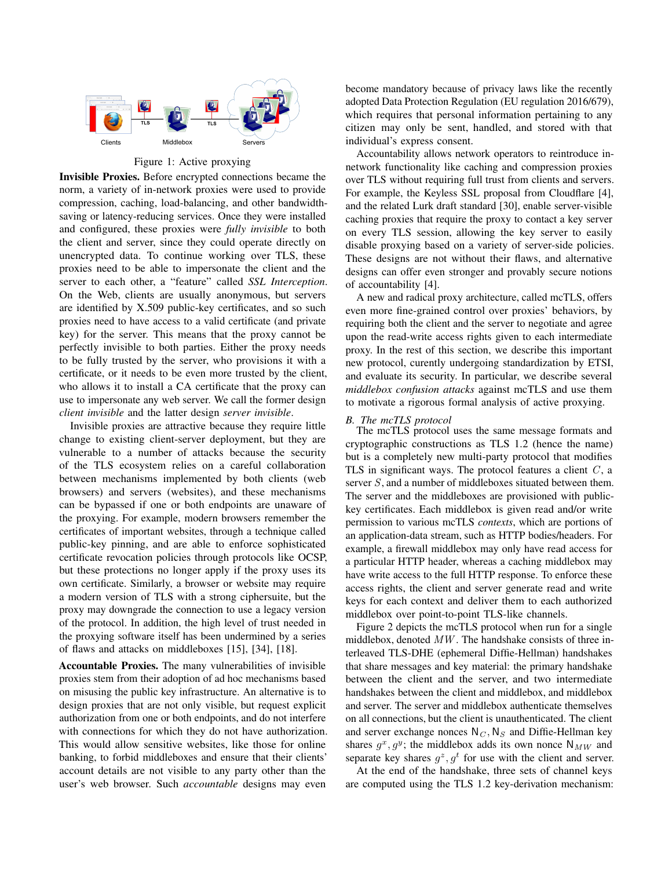

Figure 1: Active proxying

Invisible Proxies. Before encrypted connections became the norm, a variety of in-network proxies were used to provide compression, caching, load-balancing, and other bandwidthsaving or latency-reducing services. Once they were installed and configured, these proxies were *fully invisible* to both the client and server, since they could operate directly on unencrypted data. To continue working over TLS, these proxies need to be able to impersonate the client and the server to each other, a "feature" called *SSL Interception*. On the Web, clients are usually anonymous, but servers are identified by X.509 public-key certificates, and so such proxies need to have access to a valid certificate (and private key) for the server. This means that the proxy cannot be perfectly invisible to both parties. Either the proxy needs to be fully trusted by the server, who provisions it with a certificate, or it needs to be even more trusted by the client, who allows it to install a CA certificate that the proxy can use to impersonate any web server. We call the former design *client invisible* and the latter design *server invisible*.

Invisible proxies are attractive because they require little change to existing client-server deployment, but they are vulnerable to a number of attacks because the security of the TLS ecosystem relies on a careful collaboration between mechanisms implemented by both clients (web browsers) and servers (websites), and these mechanisms can be bypassed if one or both endpoints are unaware of the proxying. For example, modern browsers remember the certificates of important websites, through a technique called public-key pinning, and are able to enforce sophisticated certificate revocation policies through protocols like OCSP, but these protections no longer apply if the proxy uses its own certificate. Similarly, a browser or website may require a modern version of TLS with a strong ciphersuite, but the proxy may downgrade the connection to use a legacy version of the protocol. In addition, the high level of trust needed in the proxying software itself has been undermined by a series of flaws and attacks on middleboxes [15], [34], [18].

Accountable Proxies. The many vulnerabilities of invisible proxies stem from their adoption of ad hoc mechanisms based on misusing the public key infrastructure. An alternative is to design proxies that are not only visible, but request explicit authorization from one or both endpoints, and do not interfere with connections for which they do not have authorization. This would allow sensitive websites, like those for online banking, to forbid middleboxes and ensure that their clients' account details are not visible to any party other than the user's web browser. Such *accountable* designs may even

become mandatory because of privacy laws like the recently adopted Data Protection Regulation (EU regulation 2016/679), which requires that personal information pertaining to any citizen may only be sent, handled, and stored with that individual's express consent.

Accountability allows network operators to reintroduce innetwork functionality like caching and compression proxies over TLS without requiring full trust from clients and servers. For example, the Keyless SSL proposal from Cloudflare [4], and the related Lurk draft standard [30], enable server-visible caching proxies that require the proxy to contact a key server on every TLS session, allowing the key server to easily disable proxying based on a variety of server-side policies. These designs are not without their flaws, and alternative designs can offer even stronger and provably secure notions of accountability [4].

A new and radical proxy architecture, called mcTLS, offers even more fine-grained control over proxies' behaviors, by requiring both the client and the server to negotiate and agree upon the read-write access rights given to each intermediate proxy. In the rest of this section, we describe this important new protocol, curently undergoing standardization by ETSI, and evaluate its security. In particular, we describe several *middlebox confusion attacks* against mcTLS and use them to motivate a rigorous formal analysis of active proxying.

## *B. The mcTLS protocol*

The mcTLS protocol uses the same message formats and cryptographic constructions as TLS 1.2 (hence the name) but is a completely new multi-party protocol that modifies TLS in significant ways. The protocol features a client  $C$ , a server S, and a number of middleboxes situated between them. The server and the middleboxes are provisioned with publickey certificates. Each middlebox is given read and/or write permission to various mcTLS *contexts*, which are portions of an application-data stream, such as HTTP bodies/headers. For example, a firewall middlebox may only have read access for a particular HTTP header, whereas a caching middlebox may have write access to the full HTTP response. To enforce these access rights, the client and server generate read and write keys for each context and deliver them to each authorized middlebox over point-to-point TLS-like channels.

Figure 2 depicts the mcTLS protocol when run for a single middlebox, denoted  $MW$ . The handshake consists of three interleaved TLS-DHE (ephemeral Diffie-Hellman) handshakes that share messages and key material: the primary handshake between the client and the server, and two intermediate handshakes between the client and middlebox, and middlebox and server. The server and middlebox authenticate themselves on all connections, but the client is unauthenticated. The client and server exchange nonces  $N_C$ ,  $N_S$  and Diffie-Hellman key shares  $g^x$ ,  $g^y$ ; the middlebox adds its own nonce N<sub>MW</sub> and separate key shares  $g^z$ ,  $g^t$  for use with the client and server.

At the end of the handshake, three sets of channel keys are computed using the TLS 1.2 key-derivation mechanism: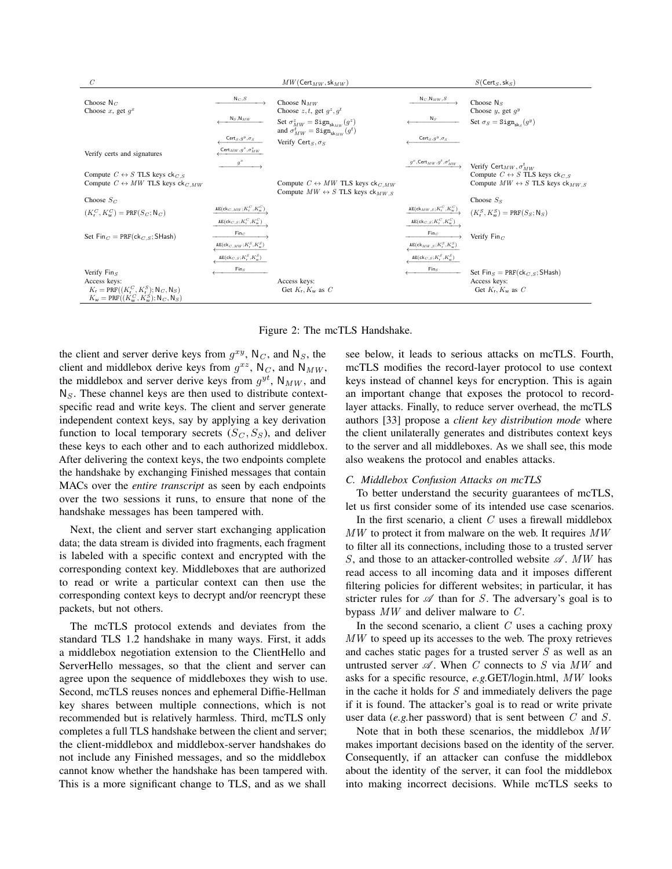

Figure 2: The mcTLS Handshake.

the client and server derive keys from  $g^{xy}$ , N<sub>C</sub>, and N<sub>S</sub>, the client and middlebox derive keys from  $g^{xz}$ , N<sub>C</sub>, and N<sub>MW</sub>, the middlebox and server derive keys from  $g^{yt}$ , N<sub>MW</sub>, and  $N<sub>S</sub>$ . These channel keys are then used to distribute contextspecific read and write keys. The client and server generate independent context keys, say by applying a key derivation function to local temporary secrets  $(S_C, S_S)$ , and deliver these keys to each other and to each authorized middlebox. After delivering the context keys, the two endpoints complete the handshake by exchanging Finished messages that contain MACs over the *entire transcript* as seen by each endpoints over the two sessions it runs, to ensure that none of the handshake messages has been tampered with.

Next, the client and server start exchanging application data; the data stream is divided into fragments, each fragment is labeled with a specific context and encrypted with the corresponding context key. Middleboxes that are authorized to read or write a particular context can then use the corresponding context keys to decrypt and/or reencrypt these packets, but not others.

The mcTLS protocol extends and deviates from the standard TLS 1.2 handshake in many ways. First, it adds a middlebox negotiation extension to the ClientHello and ServerHello messages, so that the client and server can agree upon the sequence of middleboxes they wish to use. Second, mcTLS reuses nonces and ephemeral Diffie-Hellman key shares between multiple connections, which is not recommended but is relatively harmless. Third, mcTLS only completes a full TLS handshake between the client and server; the client-middlebox and middlebox-server handshakes do not include any Finished messages, and so the middlebox cannot know whether the handshake has been tampered with. This is a more significant change to TLS, and as we shall

see below, it leads to serious attacks on mcTLS. Fourth, mcTLS modifies the record-layer protocol to use context keys instead of channel keys for encryption. This is again an important change that exposes the protocol to recordlayer attacks. Finally, to reduce server overhead, the mcTLS authors [33] propose a *client key distribution mode* where the client unilaterally generates and distributes context keys to the server and all middleboxes. As we shall see, this mode also weakens the protocol and enables attacks.

## *C. Middlebox Confusion Attacks on mcTLS*

To better understand the security guarantees of mcTLS, let us first consider some of its intended use case scenarios.

In the first scenario, a client  $C$  uses a firewall middlebox  $MW$  to protect it from malware on the web. It requires  $MW$ to filter all its connections, including those to a trusted server S, and those to an attacker-controlled website  $\mathscr A$ . MW has read access to all incoming data and it imposes different filtering policies for different websites; in particular, it has stricter rules for  $\mathscr A$  than for S. The adversary's goal is to bypass  $MW$  and deliver malware to  $C$ .

In the second scenario, a client  $C$  uses a caching proxy MW to speed up its accesses to the web. The proxy retrieves and caches static pages for a trusted server  $S$  as well as an untrusted server  $\mathscr A$ . When C connects to S via MW and asks for a specific resource, *e.g.*GET/login.html, MW looks in the cache it holds for  $S$  and immediately delivers the page if it is found. The attacker's goal is to read or write private user data (*e.g.*her password) that is sent between C and S.

Note that in both these scenarios, the middlebox MW makes important decisions based on the identity of the server. Consequently, if an attacker can confuse the middlebox about the identity of the server, it can fool the middlebox into making incorrect decisions. While mcTLS seeks to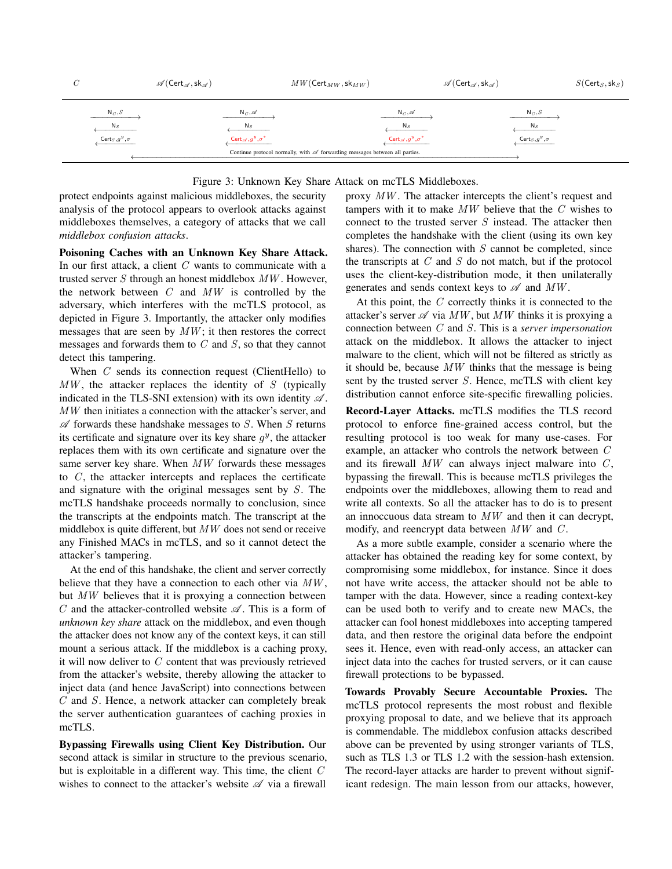|                                | $\mathscr{A}(\mathsf{Cert}_{\mathscr{A}}, \mathsf{sk}_{\mathscr{A}})$ | $MW(\mathsf{Cert}_{MW}, \mathsf{sk}_{MW})$                                                                                   | $\mathscr{A}(\mathsf{Cert}_{\mathscr{A}}, \mathsf{sk}_{\mathscr{A}})$ | $S(\mathsf{Cert}_S, \mathsf{sk}_S)$ |
|--------------------------------|-----------------------------------------------------------------------|------------------------------------------------------------------------------------------------------------------------------|-----------------------------------------------------------------------|-------------------------------------|
| $N_C, S$<br>$N_{S}$            | $N_C$ , $\mathscr A$<br>$N_{S}$                                       | $N_C \mathcal{A}$<br>$N_{\rm S}$                                                                                             | $N_C, S$<br>N s                                                       |                                     |
| $\mathsf{Cert}_S, g^y, \sigma$ | Cert $_{\mathscr{A}}, g^y, \sigma^*$                                  | Cert $_{\mathscr{A}},g^y,\sigma^*$<br>Continue protocol normally, with $\mathscr A$ forwarding messages between all parties. | $\mathsf{Cert}_S, g^y, \sigma$                                        |                                     |
|                                |                                                                       |                                                                                                                              |                                                                       |                                     |

## Figure 3: Unknown Key Share Attack on mcTLS Middleboxes.

protect endpoints against malicious middleboxes, the security analysis of the protocol appears to overlook attacks against middleboxes themselves, a category of attacks that we call *middlebox confusion attacks*.

Poisoning Caches with an Unknown Key Share Attack. In our first attack, a client  $C$  wants to communicate with a trusted server  $S$  through an honest middlebox  $MW$ . However, the network between  $C$  and  $MW$  is controlled by the adversary, which interferes with the mcTLS protocol, as depicted in Figure 3. Importantly, the attacker only modifies messages that are seen by  $MW$ ; it then restores the correct messages and forwards them to  $C$  and  $S$ , so that they cannot detect this tampering.

When  $C$  sends its connection request (ClientHello) to  $MW$ , the attacker replaces the identity of S (typically indicated in the TLS-SNI extension) with its own identity  $\mathcal{A}$ . MW then initiates a connection with the attacker's server, and  $\mathscr A$  forwards these handshake messages to S. When S returns its certificate and signature over its key share  $g^y$ , the attacker replaces them with its own certificate and signature over the same server key share. When MW forwards these messages to  $C$ , the attacker intercepts and replaces the certificate and signature with the original messages sent by S. The mcTLS handshake proceeds normally to conclusion, since the transcripts at the endpoints match. The transcript at the middlebox is quite different, but MW does not send or receive any Finished MACs in mcTLS, and so it cannot detect the attacker's tampering.

At the end of this handshake, the client and server correctly believe that they have a connection to each other via  $MW$ , but MW believes that it is proxying a connection between C and the attacker-controlled website  $\mathscr A$ . This is a form of *unknown key share* attack on the middlebox, and even though the attacker does not know any of the context keys, it can still mount a serious attack. If the middlebox is a caching proxy, it will now deliver to C content that was previously retrieved from the attacker's website, thereby allowing the attacker to inject data (and hence JavaScript) into connections between C and S. Hence, a network attacker can completely break the server authentication guarantees of caching proxies in mcTLS.

Bypassing Firewalls using Client Key Distribution. Our second attack is similar in structure to the previous scenario, but is exploitable in a different way. This time, the client C wishes to connect to the attacker's website  $\mathscr A$  via a firewall

proxy MW . The attacker intercepts the client's request and tampers with it to make  $MW$  believe that the  $C$  wishes to connect to the trusted server  $S$  instead. The attacker then completes the handshake with the client (using its own key shares). The connection with  $S$  cannot be completed, since the transcripts at  $C$  and  $S$  do not match, but if the protocol uses the client-key-distribution mode, it then unilaterally generates and sends context keys to  $\mathscr A$  and  $MW$ .

At this point, the  $C$  correctly thinks it is connected to the attacker's server  $\mathscr A$  via MW, but MW thinks it is proxying a connection between C and S. This is a *server impersonation* attack on the middlebox. It allows the attacker to inject malware to the client, which will not be filtered as strictly as it should be, because  $MW$  thinks that the message is being sent by the trusted server S. Hence, mcTLS with client key distribution cannot enforce site-specific firewalling policies.

Record-Layer Attacks. mcTLS modifies the TLS record protocol to enforce fine-grained access control, but the resulting protocol is too weak for many use-cases. For example, an attacker who controls the network between C and its firewall  $MW$  can always inject malware into  $C$ , bypassing the firewall. This is because mcTLS privileges the endpoints over the middleboxes, allowing them to read and write all contexts. So all the attacker has to do is to present an innoccuous data stream to  $MW$  and then it can decrypt, modify, and reencrypt data between  $MW$  and  $C$ .

As a more subtle example, consider a scenario where the attacker has obtained the reading key for some context, by compromising some middlebox, for instance. Since it does not have write access, the attacker should not be able to tamper with the data. However, since a reading context-key can be used both to verify and to create new MACs, the attacker can fool honest middleboxes into accepting tampered data, and then restore the original data before the endpoint sees it. Hence, even with read-only access, an attacker can inject data into the caches for trusted servers, or it can cause firewall protections to be bypassed.

Towards Provably Secure Accountable Proxies. The mcTLS protocol represents the most robust and flexible proxying proposal to date, and we believe that its approach is commendable. The middlebox confusion attacks described above can be prevented by using stronger variants of TLS, such as TLS 1.3 or TLS 1.2 with the session-hash extension. The record-layer attacks are harder to prevent without significant redesign. The main lesson from our attacks, however,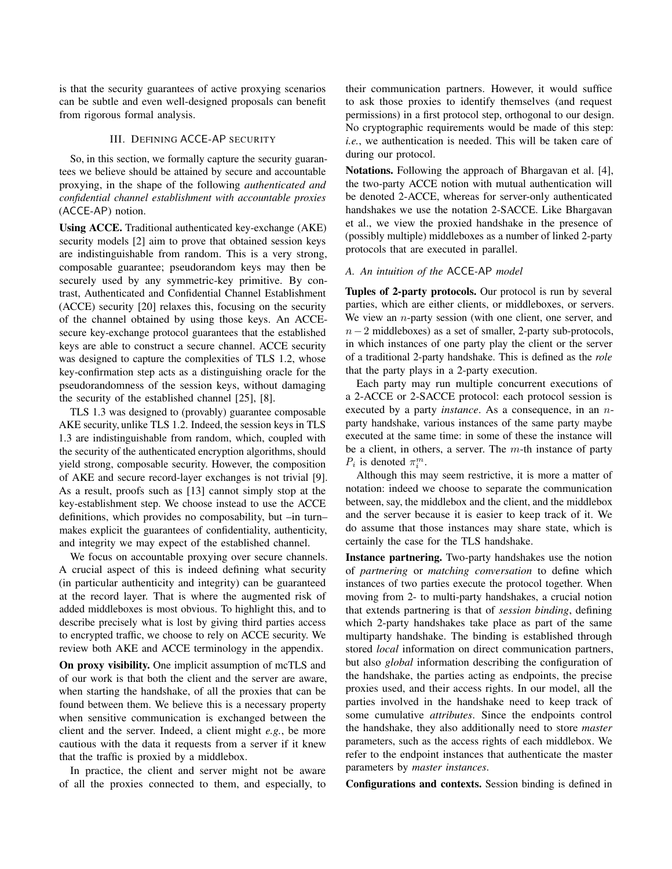is that the security guarantees of active proxying scenarios can be subtle and even well-designed proposals can benefit from rigorous formal analysis.

## III. DEFINING ACCE-AP SECURITY

So, in this section, we formally capture the security guarantees we believe should be attained by secure and accountable proxying, in the shape of the following *authenticated and confidential channel establishment with accountable proxies* (ACCE-AP) notion.

Using ACCE. Traditional authenticated key-exchange (AKE) security models [2] aim to prove that obtained session keys are indistinguishable from random. This is a very strong, composable guarantee; pseudorandom keys may then be securely used by any symmetric-key primitive. By contrast, Authenticated and Confidential Channel Establishment (ACCE) security [20] relaxes this, focusing on the security of the channel obtained by using those keys. An ACCEsecure key-exchange protocol guarantees that the established keys are able to construct a secure channel. ACCE security was designed to capture the complexities of TLS 1.2, whose key-confirmation step acts as a distinguishing oracle for the pseudorandomness of the session keys, without damaging the security of the established channel [25], [8].

TLS 1.3 was designed to (provably) guarantee composable AKE security, unlike TLS 1.2. Indeed, the session keys in TLS 1.3 are indistinguishable from random, which, coupled with the security of the authenticated encryption algorithms, should yield strong, composable security. However, the composition of AKE and secure record-layer exchanges is not trivial [9]. As a result, proofs such as [13] cannot simply stop at the key-establishment step. We choose instead to use the ACCE definitions, which provides no composability, but –in turn– makes explicit the guarantees of confidentiality, authenticity, and integrity we may expect of the established channel.

We focus on accountable proxying over secure channels. A crucial aspect of this is indeed defining what security (in particular authenticity and integrity) can be guaranteed at the record layer. That is where the augmented risk of added middleboxes is most obvious. To highlight this, and to describe precisely what is lost by giving third parties access to encrypted traffic, we choose to rely on ACCE security. We review both AKE and ACCE terminology in the appendix.

On proxy visibility. One implicit assumption of mcTLS and of our work is that both the client and the server are aware, when starting the handshake, of all the proxies that can be found between them. We believe this is a necessary property when sensitive communication is exchanged between the client and the server. Indeed, a client might *e.g.*, be more cautious with the data it requests from a server if it knew that the traffic is proxied by a middlebox.

In practice, the client and server might not be aware of all the proxies connected to them, and especially, to their communication partners. However, it would suffice to ask those proxies to identify themselves (and request permissions) in a first protocol step, orthogonal to our design. No cryptographic requirements would be made of this step: *i.e.*, we authentication is needed. This will be taken care of during our protocol.

Notations. Following the approach of Bhargavan et al. [4], the two-party ACCE notion with mutual authentication will be denoted 2-ACCE, whereas for server-only authenticated handshakes we use the notation 2-SACCE. Like Bhargavan et al., we view the proxied handshake in the presence of (possibly multiple) middleboxes as a number of linked 2-party protocols that are executed in parallel.

## *A. An intuition of the* ACCE*-*AP *model*

Tuples of 2-party protocols. Our protocol is run by several parties, which are either clients, or middleboxes, or servers. We view an  $n$ -party session (with one client, one server, and  $n-2$  middleboxes) as a set of smaller, 2-party sub-protocols, in which instances of one party play the client or the server of a traditional 2-party handshake. This is defined as the *role* that the party plays in a 2-party execution.

Each party may run multiple concurrent executions of a 2-ACCE or 2-SACCE protocol: each protocol session is executed by a party *instance*. As a consequence, in an nparty handshake, various instances of the same party maybe executed at the same time: in some of these the instance will be a client, in others, a server. The  $m$ -th instance of party  $P_i$  is denoted  $\pi_i^m$ .

Although this may seem restrictive, it is more a matter of notation: indeed we choose to separate the communication between, say, the middlebox and the client, and the middlebox and the server because it is easier to keep track of it. We do assume that those instances may share state, which is certainly the case for the TLS handshake.

Instance partnering. Two-party handshakes use the notion of *partnering* or *matching conversation* to define which instances of two parties execute the protocol together. When moving from 2- to multi-party handshakes, a crucial notion that extends partnering is that of *session binding*, defining which 2-party handshakes take place as part of the same multiparty handshake. The binding is established through stored *local* information on direct communication partners, but also *global* information describing the configuration of the handshake, the parties acting as endpoints, the precise proxies used, and their access rights. In our model, all the parties involved in the handshake need to keep track of some cumulative *attributes*. Since the endpoints control the handshake, they also additionally need to store *master* parameters, such as the access rights of each middlebox. We refer to the endpoint instances that authenticate the master parameters by *master instances*.

Configurations and contexts. Session binding is defined in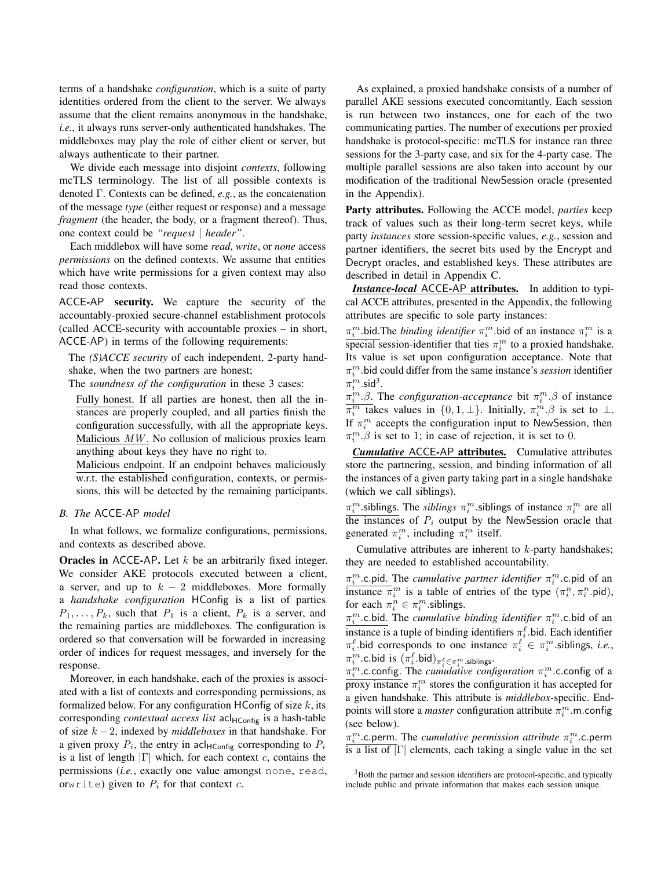terms of a handshake *configuration*, which is a suite of party identities ordered from the client to the server. We always assume that the client remains anonymous in the handshake, *i.e.*, it always runs server-only authenticated handshakes. The middleboxes may play the role of either client or server, but always authenticate to their partner.

We divide each message into disjoint *contexts*, following mcTLS terminology. The list of all possible contexts is denoted Γ. Contexts can be defined, *e.g.*, as the concatenation of the message *type* (either request or response) and a message *fragment* (the header, the body, or a fragment thereof). Thus, one context could be *"request* | *header"*.

Each middlebox will have some *read*, *write*, or *none* access *permissions* on the defined contexts. We assume that entities which have write permissions for a given context may also read those contexts.

ACCE-AP security. We capture the security of the accountably-proxied secure-channel establishment protocols (called ACCE-security with accountable proxies – in short, ACCE-AP) in terms of the following requirements:

The *(S)ACCE security* of each independent, 2-party handshake, when the two partners are honest;

The *soundness of the configuration* in these 3 cases:

Fully honest. If all parties are honest, then all the instances are properly coupled, and all parties finish the configuration successfully, with all the appropriate keys. Malicious  $MW$ . No collusion of malicious proxies learn anything about keys they have no right to.

Malicious endpoint. If an endpoint behaves maliciously w.r.t. the established configuration, contexts, or permissions, this will be detected by the remaining participants.

## *B. The* ACCE*-*AP *model*

In what follows, we formalize configurations, permissions, and contexts as described above.

**Oracles in** ACCE-AP. Let  $k$  be an arbitrarily fixed integer. We consider AKE protocols executed between a client, a server, and up to  $k - 2$  middleboxes. More formally a *handshake configuration* HConfig is a list of parties  $P_1, \ldots, P_k$ , such that  $P_1$  is a client,  $P_k$  is a server, and the remaining parties are middleboxes. The configuration is ordered so that conversation will be forwarded in increasing order of indices for request messages, and inversely for the response.

Moreover, in each handshake, each of the proxies is associated with a list of contexts and corresponding permissions, as formalized below. For any configuration HConfig of size  $k$ , its corresponding *contextual access list* acl<sub>HConfig</sub> is a hash-table of size k −2, indexed by *middleboxes* in that handshake. For a given proxy  $P_i$ , the entry in acl<sub>HConfig</sub> corresponding to  $P_i$ is a list of length  $|\Gamma|$  which, for each context c, contains the permissions (*i.e.*, exactly one value amongst none, read, orwrite) given to  $P_i$  for that context c.

As explained, a proxied handshake consists of a number of parallel AKE sessions executed concomitantly. Each session is run between two instances, one for each of the two communicating parties. The number of executions per proxied handshake is protocol-specific: mcTLS for instance ran three sessions for the 3-party case, and six for the 4-party case. The multiple parallel sessions are also taken into account by our modification of the traditional NewSession oracle (presented in the Appendix).

Party attributes. Following the ACCE model, *parties* keep track of values such as their long-term secret keys, while party *instances* store session-specific values, *e.g.*, session and partner identifiers, the secret bits used by the Encrypt and Decrypt oracles, and established keys. These attributes are described in detail in Appendix C.

*Instance-local* ACCE-AP attributes. In addition to typical ACCE attributes, presented in the Appendix, the following attributes are specific to sole party instances:

 $\pi_i^m$  bid. The *binding identifier*  $\pi_i^m$  bid of an instance  $\pi_i^m$  is a special session-identifier that ties  $\pi_i^m$  to a proxied handshake. Its value is set upon configuration acceptance. Note that π m i .bid could differ from the same instance's *session* identifier  $\pi_i^m$ .sid<sup>3</sup>.

 $\pi_i^m \beta$ . The *configuration-acceptance* bit  $\pi_i^m \beta$  of instance  $\overline{\pi_i^m}$  takes values in  $\{0, 1, \perp\}$ . Initially,  $\pi_i^m \cdot \beta$  is set to  $\perp$ . If  $\pi_i^m$  accepts the configuration input to NewSession, then  $\pi_i^m \cdot \beta$  is set to 1; in case of rejection, it is set to 0.

*Cumulative* ACCE-AP attributes. Cumulative attributes store the partnering, session, and binding information of all the instances of a given party taking part in a single handshake (which we call siblings).

 $\pi_i^m$  siblings. The *siblings*  $\pi_i^m$  siblings of instance  $\pi_i^m$  are all the instances of  $P_i$  output by the NewSession oracle that generated  $\pi_i^m$ , including  $\pi_i^m$  itself.

Cumulative attributes are inherent to  $k$ -party handshakes; they are needed to established accountability.

 $\pi_i^m$ .c.pid. The *cumulative partner identifier*  $\pi_i^m$ .c.pid of an instance  $\overline{\pi}_i^m$  is a table of entries of the type  $(\pi_i^n, \pi_i^n \text{.pid})$ , for each  $\pi_i^n \in \pi_i^m$  siblings.

 $\pi_i^m$ .c.bid. The *cumulative binding identifier*  $\pi_i^m$ .c.bid of an instance is a tuple of binding identifiers  $\pi_i^{\ell}$  bid. Each identifier  $\pi_i^{\ell}$  bid corresponds to one instance  $\pi_i^{\ell} \in \pi_i^m$  siblings, *i.e.*,  $\pi_i^m$ .c.bid is  $(\pi_i^{\ell} \cdot \text{bid})_{\pi_i^{\ell} \in \pi_i^m \text{. siblings}}$ .

 $\pi_i^m$ .c.config. The *cumulative configuration*  $\pi_i^m$ .c.config of a proxy instance  $\pi_i^m$  stores the configuration it has accepted for a given handshake. This attribute is *middlebox*-specific. Endpoints will store a *master* configuration attribute  $\pi_i^m$ .m.config (see below).

 $\pi_i^m$ .c.perm. The *cumulative permission attribute*  $\pi_i^m$ .c.perm is a list of  $|\Gamma|$  elements, each taking a single value in the set

<sup>&</sup>lt;sup>3</sup>Both the partner and session identifiers are protocol-specific, and typically include public and private information that makes each session unique.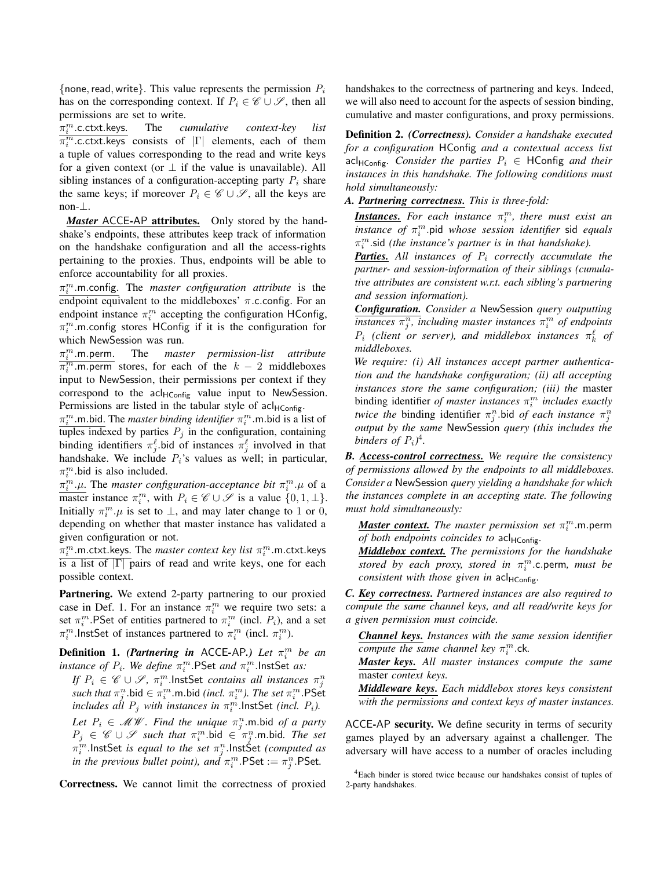{none, read, write}. This value represents the permission  $P_i$ has on the corresponding context. If  $P_i \in \mathscr{C} \cup \mathscr{S}$ , then all permissions are set to write.

π m i .c.ctxt.keys. The *cumulative context-key list*  $\overline{\pi_i^m}$ .c.ctxt.keys consists of  $|\Gamma|$  elements, each of them a tuple of values corresponding to the read and write keys for a given context (or  $\perp$  if the value is unavailable). All sibling instances of a configuration-accepting party  $P_i$  share the same keys; if moreover  $P_i \in \mathscr{C} \cup \mathscr{S}$ , all the keys are non-⊥.

*Master* ACCE-AP attributes. Only stored by the handshake's endpoints, these attributes keep track of information on the handshake configuration and all the access-rights pertaining to the proxies. Thus, endpoints will be able to enforce accountability for all proxies.

π m i .m.config. The *master configuration attribute* is the endpoint equivalent to the middleboxes'  $\pi$ .c.config. For an endpoint instance  $\pi_i^m$  accepting the configuration HConfig,  $\pi_i^m$ .m.config stores HConfig if it is the configuration for which NewSession was run.

 $\pi_i^m$ .m.perm. The *master permission-list attribute*  $\overline{\pi_i^m}$ .m.perm stores, for each of the  $k-2$  middleboxes input to NewSession, their permissions per context if they correspond to the  $\text{acl}_{\text{HConfig}}$  value input to NewSession. Permissions are listed in the tabular style of  $\alpha c|_{\text{HConfig}}$ .

 $\pi_i^m$ .m.bid. The *master binding identifier*  $\pi_i^m$ .m.bid is a list of tuples indexed by parties  $P_j$  in the configuration, containing binding identifiers  $\pi_j^{\ell}$  bid of instances  $\pi_j^{\ell}$  involved in that handshake. We include  $P_i$ 's values as well; in particular,  $\pi_i^m$  bid is also included.

 $\pi_i^m.\mu$ . The *master configuration-acceptance bit*  $\pi_i^m.\mu$  of a master instance  $\pi_i^m$ , with  $P_i \in \mathscr{C} \cup \mathscr{S}$  is a value  $\{0, 1, \perp\}.$ Initially  $\pi_i^m \cdot \mu$  is set to  $\perp$ , and may later change to 1 or 0, depending on whether that master instance has validated a given configuration or not.

 $\pi_i^m$ .m.ctxt.keys. The *master context key list*  $\pi_i^m$ .m.ctxt.keys is a list of  $|\Gamma|$  pairs of read and write keys, one for each possible context.

Partnering. We extend 2-party partnering to our proxied case in Def. 1. For an instance  $\pi_i^m$  we require two sets: a set  $\pi_i^m$ . PSet of entities partnered to  $\pi_i^m$  (incl.  $P_i$ ), and a set  $\pi_i^m$ . InstSet of instances partnered to  $\pi_i^m$  (incl.  $\pi_i^m$ ).

**Definition 1.** *(Partnering in* ACCE-AP.) *Let*  $\pi_i^m$  *be an instance of*  $P_i$ *. We define*  $\pi_i^m$ . PSet *and*  $\pi_i^m$ . InstSet *as*:

*If*  $P_i \in \mathscr{C} \cup \mathscr{S}$ ,  $\pi_i^m$ .InstSet *contains all instances*  $\pi_j^m$  $\mathit{such that} \ \pi^n_j.\mathsf{bid} \in \pi^m_i.\mathsf{m}.\mathsf{bid} \ (\mathit{incl.} \ \pi^m_i).\ \mathit{The \ set \ } \pi^m_i.\mathsf{PSet}$  $\emph{includes all $P_j$ with instances in $\pi_i^m$.}$  InstSet *(incl.*  $P_i$ *).* 

Let  $P_i \in \mathcal{MW}$ . Find the unique  $\pi_j^n$ .m.bid of a party  $P_j \in \mathscr{C} \cup \mathscr{S}$  *such that*  $\pi_i^m$  bid  $\in \pi_j^n$  m bid. The set  $\pi_i^m.$ InstSet *is equal to the set*  $\pi_j^n.$ InstŠet *(computed as in the previous bullet point), and*  $\pi_i^m$ . PSet :=  $\pi_j^n$ . PSet.

Correctness. We cannot limit the correctness of proxied

handshakes to the correctness of partnering and keys. Indeed, we will also need to account for the aspects of session binding, cumulative and master configurations, and proxy permissions.

Definition 2. *(Correctness). Consider a handshake executed for a configuration* HConfig *and a contextual access list* acl<sub>HConfig</sub>. Consider the parties  $P_i \in$  HConfig and their *instances in this handshake. The following conditions must hold simultaneously:*

## *A. Partnering correctness. This is three-fold:*

**<u>Instances.</u>** For each instance  $\pi_i^m$ , there must exist an *instance of* π m i .pid *whose session identifier* sid *equals*  $\pi_i^m$  sid *(the instance's partner is in that handshake)*.

*Parties. All instances of*  $P_i$  *correctly accumulate the partner- and session-information of their siblings (cumulative attributes are consistent w.r.t. each sibling's partnering and session information).*

*Configuration. Consider a* NewSession *query outputting*  $\overline{\textit{instances}} \ \pi^n_j, \ \overline{\textit{including master instances}} \ \pi^m_i \ \textit{of endpoints}$  $P_i$  *(client or server), and middlebox instances*  $\pi_k^{\ell}$  *of middleboxes.*

*We require: (i) All instances accept partner authentication and the handshake configuration; (ii) all accepting instances store the same configuration; (iii) the* master binding identifier *of master instances* π m i *includes exactly twice the binding identifier*  $\pi_j^n$  *bid of each instance*  $\pi_j^n$ *output by the same* NewSession *query (this includes the binders of*  $P_i$ <sup> $\}$ </sup>.

*B. Access-control correctness. We require the consistency of permissions allowed by the endpoints to all middleboxes. Consider a* NewSession *query yielding a handshake for which the instances complete in an accepting state. The following must hold simultaneously:*

*Master context. The master permission set* π m i .m.perm *of both endpoints coincides to* acl<sub>HConfig</sub>.

*Middlebox context. The permissions for the handshake stored by each proxy, stored in* π m i .c.perm*, must be consistent with those given in* acl<sub>HConfig</sub>.

*C. Key correctness. Partnered instances are also required to compute the same channel keys, and all read/write keys for a given permission must coincide.*

*Channel keys. Instances with the same session identifier compute the same channel key*  $\pi_i^m$ .ck.

*Master keys. All master instances compute the same* master *context keys.*

*Middleware keys. Each middlebox stores keys consistent with the permissions and context keys of master instances.*

ACCE-AP security. We define security in terms of security games played by an adversary against a challenger. The adversary will have access to a number of oracles including

<sup>4</sup>Each binder is stored twice because our handshakes consist of tuples of 2-party handshakes.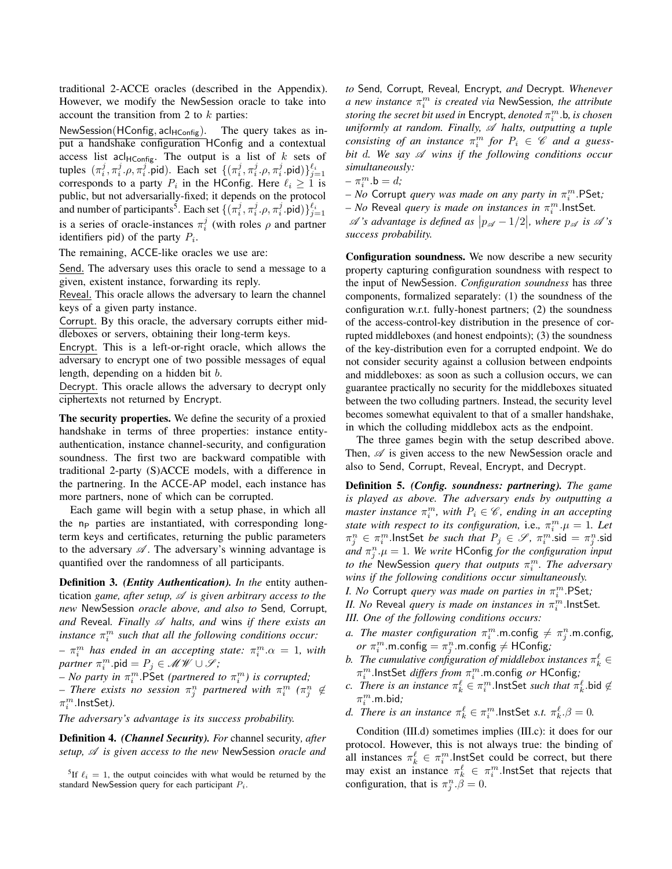traditional 2-ACCE oracles (described in the Appendix). However, we modify the NewSession oracle to take into account the transition from 2 to  $k$  parties:

NewSession(HConfig, acl<sub>HConfig</sub>). The query takes as input a handshake configuration HConfig and a contextual access list acl<sub>HConfig</sub>. The output is a list of  $k$  sets of tuples  $(\pi_i^j, \pi_i^j \cdot \rho, \pi_i^j \cdot \text{pid})$ . Each set  $\{(\pi_i^j, \pi_i^j \cdot \rho, \pi_i^j \cdot \text{pid})\}_{j=1}^{\ell_i}$ corresponds to a party  $P_i$  in the HConfig. Here  $\ell_i \geq 1$  is public, but not adversarially-fixed; it depends on the protocol and number of participants<sup>5</sup>. Each set  $\{(\pi_i^j, \pi_i^j \cdot \rho, \pi_i^j \cdot \text{pid})\}_{j=1}^{\ell_i}$ is a series of oracle-instances  $\pi_i^j$  (with roles  $\rho$  and partner identifiers pid) of the party  $P_i$ .

The remaining, ACCE-like oracles we use are:

Send. The adversary uses this oracle to send a message to a given, existent instance, forwarding its reply.

Reveal. This oracle allows the adversary to learn the channel keys of a given party instance.

Corrupt. By this oracle, the adversary corrupts either middleboxes or servers, obtaining their long-term keys.

Encrypt. This is a left-or-right oracle, which allows the adversary to encrypt one of two possible messages of equal length, depending on a hidden bit b.

Decrypt. This oracle allows the adversary to decrypt only ciphertexts not returned by Encrypt.

The security properties. We define the security of a proxied handshake in terms of three properties: instance entityauthentication, instance channel-security, and configuration soundness. The first two are backward compatible with traditional 2-party (S)ACCE models, with a difference in the partnering. In the ACCE-AP model, each instance has more partners, none of which can be corrupted.

Each game will begin with a setup phase, in which all the n<sub>P</sub> parties are instantiated, with corresponding longterm keys and certificates, returning the public parameters to the adversary  $\mathscr A$ . The adversary's winning advantage is quantified over the randomness of all participants.

Definition 3. *(Entity Authentication). In the* entity authentication *game, after setup,*  $\mathscr A$  *is given arbitrary access to the new* NewSession *oracle above, and also to* Send*,* Corrupt*, and* Reveal. Finally  $\mathscr A$  *halts, and wins if there exists an*  $\theta$  *instance*  $\pi_i^m$  such that all the following conditions occur:

 $-\pi_i^m$  has ended in an accepting state:  $\pi_i^m \alpha = 1$ , with  $\mathit{partner}\ \pi^m_i.\mathsf{pid} = P_j \in \mathscr{MW} \cup \mathscr{S};$ 

 $-$  *No party in*  $\pi_i^m$ . PSet *(partnered to*  $\pi_i^m$ ) *is corrupted*;

*– There exists no session*  $\pi_j^n$  partnered with  $\pi_i^m$  ( $\pi_j^n \notin$  $\pi_i^m$ .InstSet).

*The adversary's advantage is its success probability.*

Definition 4. *(Channel Security). For* channel security*, after setup,* A *is given access to the new* NewSession *oracle and* *to* Send*,* Corrupt*,* Reveal*,* Encrypt*, and* Decrypt*. Whenever a new instance* π m i *is created via* NewSession*, the attribute*  $\mathit{storing the secret bit used in \textsf{Encrypt}, denoted } \pi^m_i.\textsf{b}, \textit{is chosen}$ *uniformly at random. Finally,* A *halts, outputting a tuple consisting of an instance*  $\pi_i^m$  *for*  $P_i \in \mathscr{C}$  *and a guessbit* d*. We say* A *wins if the following conditions occur simultaneously:*

 $-\pi_i^m \cdot b = d;$ 

- $-$  *No* Corrupt *query was made on any party in*  $\pi_i^m$ . PSet,
- $-$  *No* Reveal *query is made on instances in*  $\pi_i^m$ . InstSet.

 $\mathscr A$ 's advantage is defined as  $|p_{\mathscr A} - 1/2|$ , where  $p_{\mathscr A}$  is  $\mathscr A$ 's *success probability.*

Configuration soundness. We now describe a new security property capturing configuration soundness with respect to the input of NewSession. *Configuration soundness* has three components, formalized separately: (1) the soundness of the configuration w.r.t. fully-honest partners; (2) the soundness of the access-control-key distribution in the presence of corrupted middleboxes (and honest endpoints); (3) the soundness of the key-distribution even for a corrupted endpoint. We do not consider security against a collusion between endpoints and middleboxes: as soon as such a collusion occurs, we can guarantee practically no security for the middleboxes situated between the two colluding partners. Instead, the security level becomes somewhat equivalent to that of a smaller handshake, in which the colluding middlebox acts as the endpoint.

The three games begin with the setup described above. Then,  $\mathscr A$  is given access to the new NewSession oracle and also to Send, Corrupt, Reveal, Encrypt, and Decrypt.

Definition 5. *(Config. soundness: partnering). The game is played as above. The adversary ends by outputting a master instance*  $\pi_i^m$ , with  $P_i \in \mathscr{C}$ , ending in an accepting *state with respect to its configuration, i.e.,*  $\pi_i^m \mu = 1$ *. Let*  $\pi^n_j \in \pi^m_i$ .InstSet *be such that*  $P_j \in \mathscr{S}$ ,  $\pi^m_i$ .sid  $= \pi^n_j$ .sid and  $\pi_j^n.\mu = 1$ . We write HConfig *for the configuration input to the* NewSession *query that outputs* π m i *. The adversary wins if the following conditions occur simultaneously.*

- *I. No* Corrupt *query was made on parties in*  $\pi_i^m$ .PSet;
- *II. No* Reveal *query is made on instances in*  $\pi_i^m$ . InstSet.
- *III. One of the following conditions occurs:*
- *a. The master configuration*  $\pi_i^m$ .m.config  $\neq \pi_j^n$ .m.config,  $or \pi_i^m$ .m.config =  $\pi_j^n$ .m.config  $\neq$  HConfig;
- b. The cumulative configuration of middlebox instances  $\pi_k^{\ell} \in$ π m i .InstSet *differs from* π m i .m.config *or* HConfig*;*
- *c. There is an instance*  $\pi_k^{\ell} \in \pi_i^m$ .InstSet *such that*  $\pi_k^{\ell}$ .bid  $\notin$  $\pi^m_i$ .m.bid;
- *d. There is an instance*  $\pi_k^{\ell} \in \pi_i^m$ . InstSet *s.t.*  $\pi_k^{\ell} \cdot \beta = 0$ .

Condition (III.d) sometimes implies (III.c): it does for our protocol. However, this is not always true: the binding of all instances  $\pi_k^{\ell} \in \pi_i^m$ . InstSet could be correct, but there may exist an instance  $\pi_k^{\ell} \in \pi_i^m$ . InstSet that rejects that configuration, that is  $\pi_j^n \cdot \beta = 0$ .

<sup>&</sup>lt;sup>5</sup>If  $\ell_i = 1$ , the output coincides with what would be returned by the standard NewSession query for each participant  $P_i$ .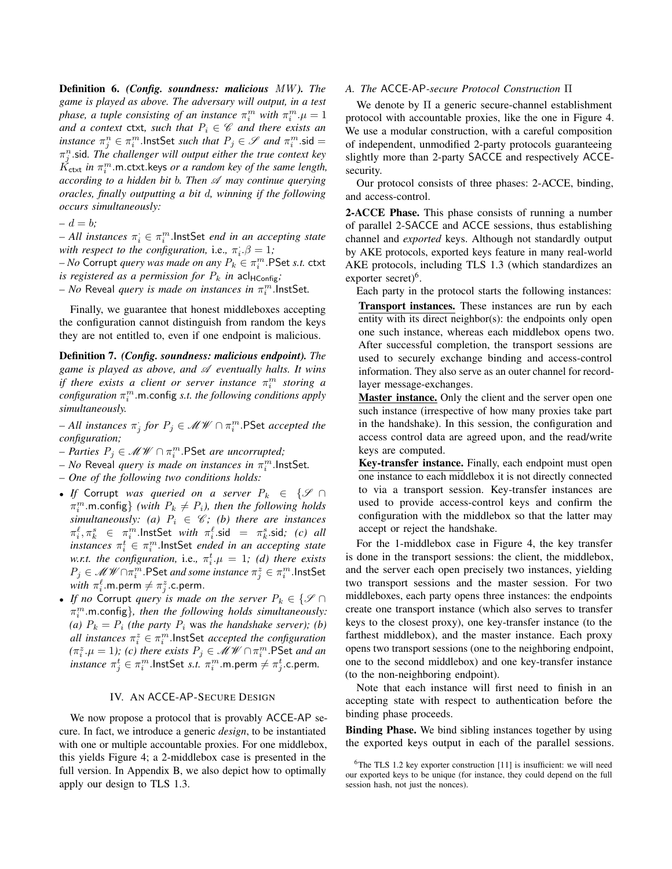Definition 6. *(Config. soundness: malicious* MW *). The game is played as above. The adversary will output, in a test phase, a tuple consisting of an instance*  $\pi_i^m$  with  $\pi_i^m \cdot \mu = 1$ *and a context* ctxt, such that  $P_i \in \mathcal{C}$  and there exists an *instance*  $\pi_j^n \in \pi_i^m$ .InstSet *such that*  $P_j \in \mathscr{S}$  *and*  $\pi_i^m$ .sid = π n j .sid*. The challenger will output either the true context key*  $K_{\text{ctxt}}$  *in*  $\pi_i^m$ .m.ctxt.keys *or a random key of the same length*, *according to a hidden bit b. Then*  $\mathscr A$  *may continue querying oracles, finally outputting a bit* d*, winning if the following occurs simultaneously:*

 $- d = b$ ;

 $-$  All instances  $\pi_i \in \pi_i^m$ .InstSet *end in an accepting state* with respect to the configuration, i.e.,  $\pi_i \cdot \beta = 1$ ;

 $-$  *No* Corrupt *query was made on any*  $P_k \in \pi_i^m$  .PSet *s.t.* ctxt *is registered as a permission for*  $P_k$  *in* acl<sub>HConfig</sub>;

 $-$  *No* Reveal *query is made on instances in*  $\pi_i^m$ . InstSet.

Finally, we guarantee that honest middleboxes accepting the configuration cannot distinguish from random the keys they are not entitled to, even if one endpoint is malicious.

Definition 7. *(Config. soundness: malicious endpoint). The game is played as above, and A eventually halts. It wins if there exists a client or server instance*  $\pi_i^m$  *storing a*  $\mathit{configuration}$   $\pi_i^m$ .m.config *s.t. the following conditions apply simultaneously.*

 $-$  All instances  $\pi_j$  for  $P_j \in \mathcal{MW} \cap \pi_i^m$ . PSet *accepted the configuration;*

- $P_i \in \mathcal{M} \mathcal{W} \cap \pi_i^m$ . PSet *are uncorrupted*;
- $-$  *No* Reveal *query is made on instances in*  $\pi_i^m$ . InstSet.
- *One of the following two conditions holds:*
- *If* Corrupt *was queried on a server*  $P_k \in \{S \cap \mathbb{R}^N\}$  $\pi_i^m$ .m.config} *(with*  $P_k \neq P_i$ *), then the following holds simultaneously:* (a)  $P_i \in \mathcal{C}$ ; (b) there are instances  $\pi_i^{\ell}, \pi_k^s \in \pi_i^m$ .InstSet *with*  $\pi_i^{\ell}$ .sid =  $\pi_k^s$ .sid*; (c) all*  $\textit{instances}\;\pi_i^t\in\pi_i^m.\mathsf{InstSet}\;\textit{ended in an accepting state}$ w.r.t. the configuration, i.e.,  $\pi_i^t \cdot \mu = 1$ ; (d) there exists  $P_j \in \mathscr{MW} \cap \pi^m_i$ .PSet *and some instance*  $\pi^z_j \in \pi^m_i.$ InstSet  $with \; \pi_i^\ell.$ m.perm  $\neq \pi_j^z.$ c.perm.
- *If no* Corrupt *query is made on the server*  $P_k \in \{S \cap \mathcal{S} \mid S\}$ π m i .m.config}*, then the following holds simultaneously: (a)*  $P_k = P_i$  *(the party*  $P_i$  was *the handshake server); (b)*  $all$  instances  $\pi_i^z \in \pi_i^m$ .InstSet *accepted the configuration*  $(\pi_i^z \cdot \mu = 1)$ ; (c) there exists  $P_j \in \mathcal{MW} \cap \pi_i^m$ . PSet *and an*  $\textit{instance} \, \, \pi_j^t \in \pi_i^m.$ InstSet *s.t.*  $\pi_i^m.$ m.perm $\neq \pi_j^t.$ c.perm.

## IV. AN ACCE-AP-SECURE DESIGN

We now propose a protocol that is provably ACCE-AP secure. In fact, we introduce a generic *design*, to be instantiated with one or multiple accountable proxies. For one middlebox, this yields Figure 4; a 2-middlebox case is presented in the full version. In Appendix B, we also depict how to optimally apply our design to TLS 1.3.

## *A. The* ACCE*-*AP*-secure Protocol Construction* Π

We denote by Π a generic secure-channel establishment protocol with accountable proxies, like the one in Figure 4. We use a modular construction, with a careful composition of independent, unmodified 2-party protocols guaranteeing slightly more than 2-party SACCE and respectively ACCEsecurity.

Our protocol consists of three phases: 2-ACCE, binding, and access-control.

2-ACCE Phase. This phase consists of running a number of parallel 2-SACCE and ACCE sessions, thus establishing channel and *exported* keys. Although not standardly output by AKE protocols, exported keys feature in many real-world AKE protocols, including TLS 1.3 (which standardizes an exporter secret)<sup>6</sup>.

Each party in the protocol starts the following instances: Transport instances. These instances are run by each entity with its direct neighbor(s): the endpoints only open one such instance, whereas each middlebox opens two. After successful completion, the transport sessions are used to securely exchange binding and access-control information. They also serve as an outer channel for recordlayer message-exchanges.

Master instance. Only the client and the server open one such instance (irrespective of how many proxies take part in the handshake). In this session, the configuration and access control data are agreed upon, and the read/write keys are computed.

Key-transfer instance. Finally, each endpoint must open one instance to each middlebox it is not directly connected to via a transport session. Key-transfer instances are used to provide access-control keys and confirm the configuration with the middlebox so that the latter may accept or reject the handshake.

For the 1-middlebox case in Figure 4, the key transfer is done in the transport sessions: the client, the middlebox, and the server each open precisely two instances, yielding two transport sessions and the master session. For two middleboxes, each party opens three instances: the endpoints create one transport instance (which also serves to transfer keys to the closest proxy), one key-transfer instance (to the farthest middlebox), and the master instance. Each proxy opens two transport sessions (one to the neighboring endpoint, one to the second middlebox) and one key-transfer instance (to the non-neighboring endpoint).

Note that each instance will first need to finish in an accepting state with respect to authentication before the binding phase proceeds.

Binding Phase. We bind sibling instances together by using the exported keys output in each of the parallel sessions.

<sup>&</sup>lt;sup>6</sup>The TLS 1.2 key exporter construction [11] is insufficient: we will need our exported keys to be unique (for instance, they could depend on the full session hash, not just the nonces).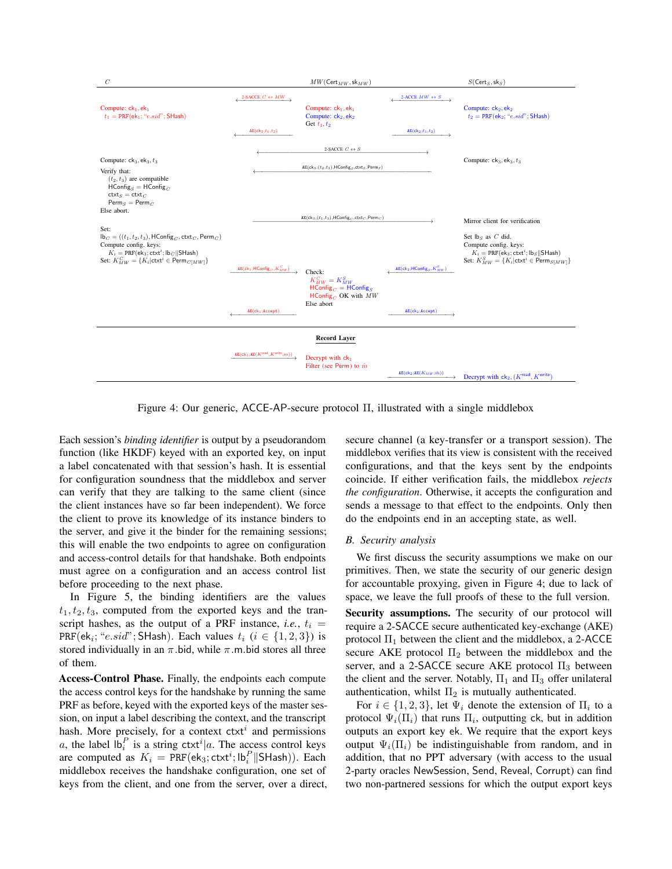

Figure 4: Our generic, ACCE-AP-secure protocol Π, illustrated with a single middlebox

Each session's *binding identifier* is output by a pseudorandom function (like HKDF) keyed with an exported key, on input a label concatenated with that session's hash. It is essential for configuration soundness that the middlebox and server can verify that they are talking to the same client (since the client instances have so far been independent). We force the client to prove its knowledge of its instance binders to the server, and give it the binder for the remaining sessions; this will enable the two endpoints to agree on configuration and access-control details for that handshake. Both endpoints must agree on a configuration and an access control list before proceeding to the next phase.

In Figure 5, the binding identifiers are the values  $t_1, t_2, t_3$ , computed from the exported keys and the transcript hashes, as the output of a PRF instance, *i.e.*,  $t_i$  = PRF(ek<sub>i</sub>; "*e.sid*"; SHash). Each values  $t_i$  ( $i \in \{1,2,3\}$ ) is stored individually in an  $\pi$  bid, while  $\pi$  m bid stores all three of them.

Access-Control Phase. Finally, the endpoints each compute the access control keys for the handshake by running the same PRF as before, keyed with the exported keys of the master session, on input a label describing the context, and the transcript hash. More precisely, for a context  $\text{ctxt}^i$  and permissions a, the label  $\overline{\mathsf{lb}_i^P}$  is a string ctxt<sup>i</sup>/a. The access control keys are computed as  $K_i = PRF(ek_3; \text{ctxt}^i; \text{lb}_i^P \parallel \text{SHash})).$  Each middlebox receives the handshake configuration, one set of keys from the client, and one from the server, over a direct, secure channel (a key-transfer or a transport session). The middlebox verifies that its view is consistent with the received configurations, and that the keys sent by the endpoints coincide. If either verification fails, the middlebox *rejects the configuration*. Otherwise, it accepts the configuration and sends a message to that effect to the endpoints. Only then do the endpoints end in an accepting state, as well.

#### *B. Security analysis*

We first discuss the security assumptions we make on our primitives. Then, we state the security of our generic design for accountable proxying, given in Figure 4; due to lack of space, we leave the full proofs of these to the full version.

Security assumptions. The security of our protocol will require a 2-SACCE secure authenticated key-exchange (AKE) protocol  $\Pi_1$  between the client and the middlebox, a 2-ACCE secure AKE protocol  $\Pi_2$  between the middlebox and the server, and a 2-SACCE secure AKE protocol  $\Pi_3$  between the client and the server. Notably,  $\Pi_1$  and  $\Pi_3$  offer unilateral authentication, whilst  $\Pi_2$  is mutually authenticated.

For  $i \in \{1, 2, 3\}$ , let  $\Psi_i$  denote the extension of  $\Pi_i$  to a protocol  $\Psi_i(\Pi_i)$  that runs  $\Pi_i$ , outputting ck, but in addition outputs an export key ek. We require that the export keys output  $\Psi_i(\Pi_i)$  be indistinguishable from random, and in addition, that no PPT adversary (with access to the usual 2-party oracles NewSession, Send, Reveal, Corrupt) can find two non-partnered sessions for which the output export keys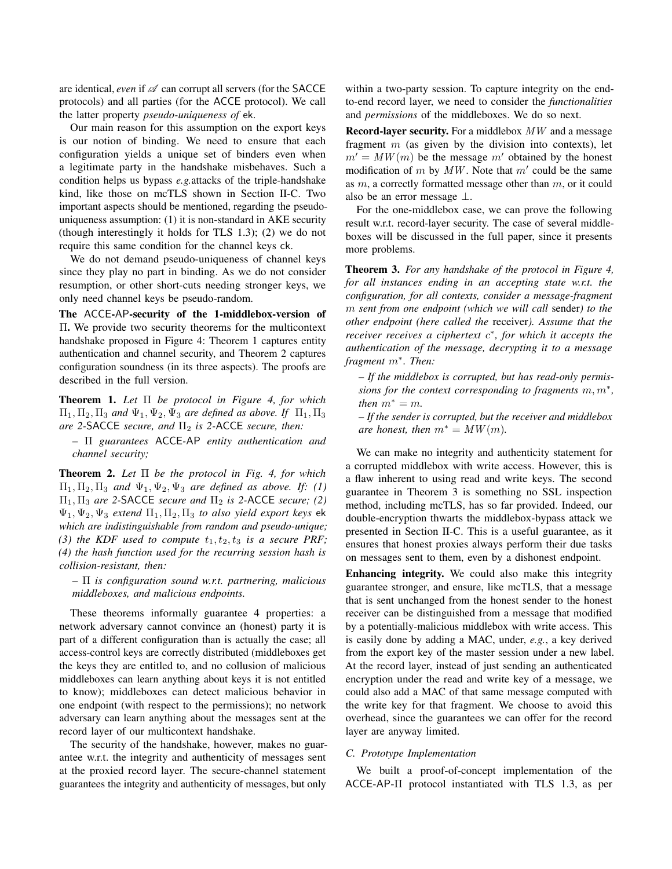are identical, *even* if  $\mathcal A$  can corrupt all servers (for the SACCE protocols) and all parties (for the ACCE protocol). We call the latter property *pseudo-uniqueness of* ek.

Our main reason for this assumption on the export keys is our notion of binding. We need to ensure that each configuration yields a unique set of binders even when a legitimate party in the handshake misbehaves. Such a condition helps us bypass *e.g.*attacks of the triple-handshake kind, like those on mcTLS shown in Section II-C. Two important aspects should be mentioned, regarding the pseudouniqueness assumption: (1) it is non-standard in AKE security (though interestingly it holds for TLS 1.3); (2) we do not require this same condition for the channel keys ck.

We do not demand pseudo-uniqueness of channel keys since they play no part in binding. As we do not consider resumption, or other short-cuts needing stronger keys, we only need channel keys be pseudo-random.

The ACCE-AP-security of the 1-middlebox-version of Π. We provide two security theorems for the multicontext handshake proposed in Figure 4: Theorem 1 captures entity authentication and channel security, and Theorem 2 captures configuration soundness (in its three aspects). The proofs are described in the full version.

Theorem 1. *Let* Π *be protocol in Figure 4, for which*  $\Pi_1, \Pi_2, \Pi_3$  *and*  $\Psi_1, \Psi_2, \Psi_3$  *are defined as above. If*  $\Pi_1, \Pi_3$ *are 2-SACCE secure, and* Π<sub>2</sub> *is 2-ACCE secure, then:* 

*–* Π *guarantees* ACCE*-*AP *entity authentication and channel security;*

Theorem 2. *Let* Π *be the protocol in Fig. 4, for which*  $\Pi_1, \Pi_2, \Pi_3$  *and*  $\Psi_1, \Psi_2, \Psi_3$  *are defined as above. If: (1)*  $\Pi_1, \Pi_3$  *are 2-SACCE secure and*  $\Pi_2$  *is 2-ACCE secure; (2)*  $\Psi_1, \Psi_2, \Psi_3$  *extend*  $\Pi_1, \Pi_2, \Pi_3$  *to also yield export keys* ek *which are indistinguishable from random and pseudo-unique; (3) the KDF used to compute*  $t_1, t_2, t_3$  *is a secure PRF; (4) the hash function used for the recurring session hash is collision-resistant, then:*

*–* Π *is configuration sound w.r.t. partnering, malicious middleboxes, and malicious endpoints.*

These theorems informally guarantee 4 properties: a network adversary cannot convince an (honest) party it is part of a different configuration than is actually the case; all access-control keys are correctly distributed (middleboxes get the keys they are entitled to, and no collusion of malicious middleboxes can learn anything about keys it is not entitled to know); middleboxes can detect malicious behavior in one endpoint (with respect to the permissions); no network adversary can learn anything about the messages sent at the record layer of our multicontext handshake.

The security of the handshake, however, makes no guarantee w.r.t. the integrity and authenticity of messages sent at the proxied record layer. The secure-channel statement guarantees the integrity and authenticity of messages, but only within a two-party session. To capture integrity on the endto-end record layer, we need to consider the *functionalities* and *permissions* of the middleboxes. We do so next.

Record-layer security. For a middlebox MW and a message fragment  $m$  (as given by the division into contexts), let  $m' = MW(m)$  be the message m' obtained by the honest modification of m by  $MW$ . Note that m' could be the same as m, a correctly formatted message other than m, or it could also be an error message ⊥.

For the one-middlebox case, we can prove the following result w.r.t. record-layer security. The case of several middleboxes will be discussed in the full paper, since it presents more problems.

Theorem 3. *For any handshake of the protocol in Figure 4, for all instances ending in an accepting state w.r.t. the configuration, for all contexts, consider a message-fragment* m *sent from one endpoint (which we will call* sender*) to the other endpoint (here called the* receiver*). Assume that the receiver receives a ciphertext* c ∗ *, for which it accepts the authentication of the message, decrypting it to a message fragment* m<sup>∗</sup> *. Then:*

*– If the middlebox is corrupted, but has read-only permissions for the context corresponding to fragments* m, m<sup>∗</sup> *, then*  $m^* = m$ .

*– If the sender is corrupted, but the receiver and middlebox are honest, then*  $m^* = MW(m)$ *.* 

We can make no integrity and authenticity statement for a corrupted middlebox with write access. However, this is a flaw inherent to using read and write keys. The second guarantee in Theorem 3 is something no SSL inspection method, including mcTLS, has so far provided. Indeed, our double-encryption thwarts the middlebox-bypass attack we presented in Section II-C. This is a useful guarantee, as it ensures that honest proxies always perform their due tasks on messages sent to them, even by a dishonest endpoint.

Enhancing integrity. We could also make this integrity guarantee stronger, and ensure, like mcTLS, that a message that is sent unchanged from the honest sender to the honest receiver can be distinguished from a message that modified by a potentially-malicious middlebox with write access. This is easily done by adding a MAC, under, *e.g.*, a key derived from the export key of the master session under a new label. At the record layer, instead of just sending an authenticated encryption under the read and write key of a message, we could also add a MAC of that same message computed with the write key for that fragment. We choose to avoid this overhead, since the guarantees we can offer for the record layer are anyway limited.

## *C. Prototype Implementation*

We built a proof-of-concept implementation of the ACCE-AP-Π protocol instantiated with TLS 1.3, as per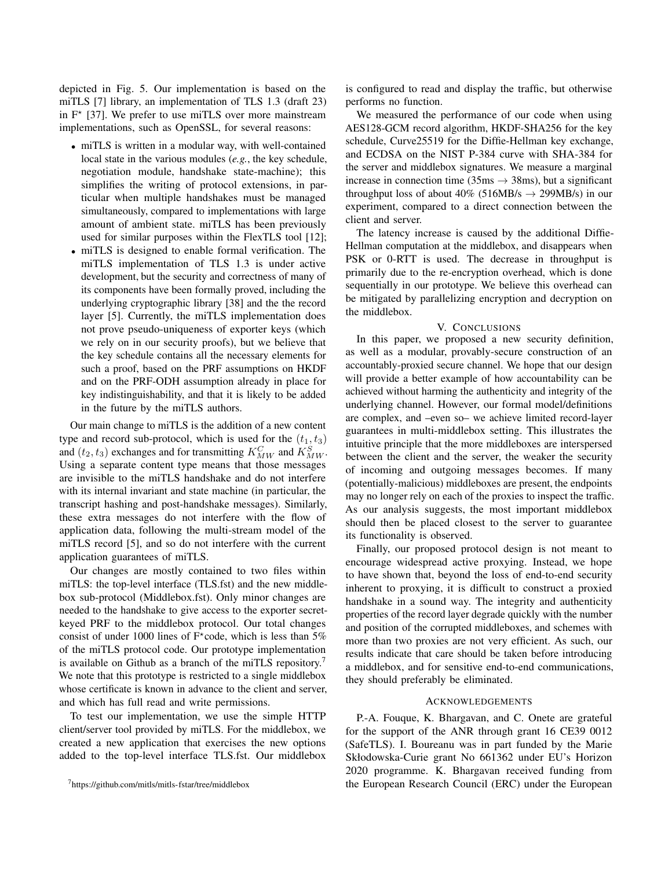depicted in Fig. 5. Our implementation is based on the miTLS [7] library, an implementation of TLS 1.3 (draft 23) in  $F^*$  [37]. We prefer to use miTLS over more mainstream implementations, such as OpenSSL, for several reasons:

- miTLS is written in a modular way, with well-contained local state in the various modules (*e.g.*, the key schedule, negotiation module, handshake state-machine); this simplifies the writing of protocol extensions, in particular when multiple handshakes must be managed simultaneously, compared to implementations with large amount of ambient state. miTLS has been previously used for similar purposes within the FlexTLS tool [12];
- miTLS is designed to enable formal verification. The miTLS implementation of TLS 1.3 is under active development, but the security and correctness of many of its components have been formally proved, including the underlying cryptographic library [38] and the the record layer [5]. Currently, the miTLS implementation does not prove pseudo-uniqueness of exporter keys (which we rely on in our security proofs), but we believe that the key schedule contains all the necessary elements for such a proof, based on the PRF assumptions on HKDF and on the PRF-ODH assumption already in place for key indistinguishability, and that it is likely to be added in the future by the miTLS authors.

Our main change to miTLS is the addition of a new content type and record sub-protocol, which is used for the  $(t_1, t_3)$ and  $(t_2, t_3)$  exchanges and for transmitting  $K_{MW}^C$  and  $K_{MW}^S$ . Using a separate content type means that those messages are invisible to the miTLS handshake and do not interfere with its internal invariant and state machine (in particular, the transcript hashing and post-handshake messages). Similarly, these extra messages do not interfere with the flow of application data, following the multi-stream model of the miTLS record [5], and so do not interfere with the current application guarantees of miTLS.

Our changes are mostly contained to two files within miTLS: the top-level interface (TLS.fst) and the new middlebox sub-protocol (Middlebox.fst). Only minor changes are needed to the handshake to give access to the exporter secretkeyed PRF to the middlebox protocol. Our total changes consist of under 1000 lines of  $F^*$ code, which is less than 5% of the miTLS protocol code. Our prototype implementation is available on Github as a branch of the miTLS repository.<sup>7</sup> We note that this prototype is restricted to a single middlebox whose certificate is known in advance to the client and server, and which has full read and write permissions.

To test our implementation, we use the simple HTTP client/server tool provided by miTLS. For the middlebox, we created a new application that exercises the new options added to the top-level interface TLS.fst. Our middlebox is configured to read and display the traffic, but otherwise performs no function.

We measured the performance of our code when using AES128-GCM record algorithm, HKDF-SHA256 for the key schedule, Curve25519 for the Diffie-Hellman key exchange, and ECDSA on the NIST P-384 curve with SHA-384 for the server and middlebox signatures. We measure a marginal increase in connection time ( $35 \text{ms} \rightarrow 38 \text{ms}$ ), but a significant throughput loss of about 40% (516MB/s  $\rightarrow$  299MB/s) in our experiment, compared to a direct connection between the client and server.

The latency increase is caused by the additional Diffie-Hellman computation at the middlebox, and disappears when PSK or 0-RTT is used. The decrease in throughput is primarily due to the re-encryption overhead, which is done sequentially in our prototype. We believe this overhead can be mitigated by parallelizing encryption and decryption on the middlebox.

### V. CONCLUSIONS

In this paper, we proposed a new security definition, as well as a modular, provably-secure construction of an accountably-proxied secure channel. We hope that our design will provide a better example of how accountability can be achieved without harming the authenticity and integrity of the underlying channel. However, our formal model/definitions are complex, and –even so– we achieve limited record-layer guarantees in multi-middlebox setting. This illustrates the intuitive principle that the more middleboxes are interspersed between the client and the server, the weaker the security of incoming and outgoing messages becomes. If many (potentially-malicious) middleboxes are present, the endpoints may no longer rely on each of the proxies to inspect the traffic. As our analysis suggests, the most important middlebox should then be placed closest to the server to guarantee its functionality is observed.

Finally, our proposed protocol design is not meant to encourage widespread active proxying. Instead, we hope to have shown that, beyond the loss of end-to-end security inherent to proxying, it is difficult to construct a proxied handshake in a sound way. The integrity and authenticity properties of the record layer degrade quickly with the number and position of the corrupted middleboxes, and schemes with more than two proxies are not very efficient. As such, our results indicate that care should be taken before introducing a middlebox, and for sensitive end-to-end communications, they should preferably be eliminated.

#### ACKNOWLEDGEMENTS

P.-A. Fouque, K. Bhargavan, and C. Onete are grateful for the support of the ANR through grant 16 CE39 0012 (SafeTLS). I. Boureanu was in part funded by the Marie Skłodowska-Curie grant No 661362 under EU's Horizon 2020 programme. K. Bhargavan received funding from the European Research Council (ERC) under the European

<sup>7</sup>https://github.com/mitls/mitls-fstar/tree/middlebox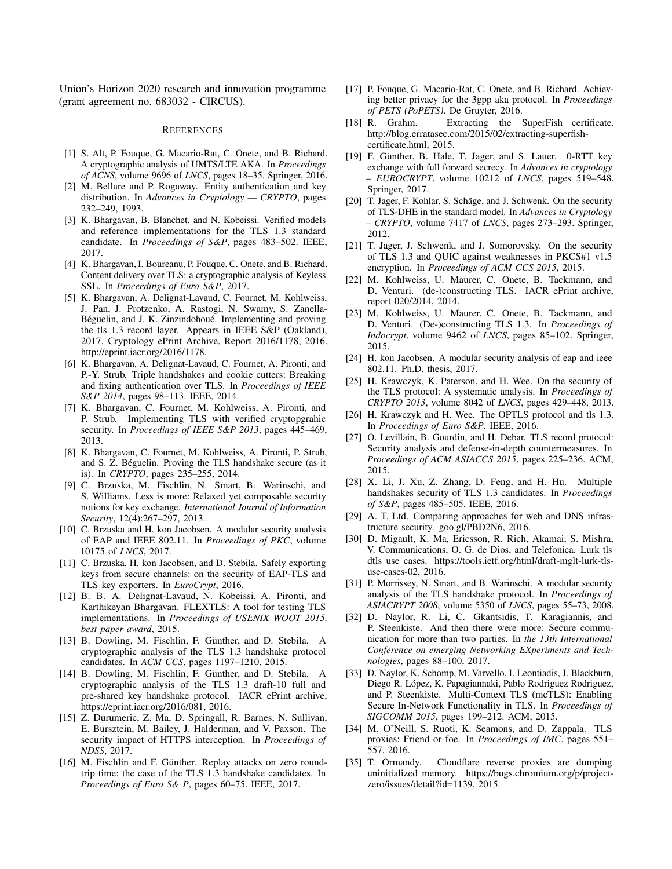Union's Horizon 2020 research and innovation programme (grant agreement no. 683032 - CIRCUS).

#### **REFERENCES**

- [1] S. Alt, P. Fouque, G. Macario-Rat, C. Onete, and B. Richard. A cryptographic analysis of UMTS/LTE AKA. In *Proceedings of ACNS*, volume 9696 of *LNCS*, pages 18–35. Springer, 2016.
- [2] M. Bellare and P. Rogaway. Entity authentication and key distribution. In *Advances in Cryptology — CRYPTO*, pages 232–249, 1993.
- [3] K. Bhargavan, B. Blanchet, and N. Kobeissi. Verified models and reference implementations for the TLS 1.3 standard candidate. In *Proceedings of S&P*, pages 483–502. IEEE, 2017.
- [4] K. Bhargavan, I. Boureanu, P. Fouque, C. Onete, and B. Richard. Content delivery over TLS: a cryptographic analysis of Keyless SSL. In *Proceedings of Euro S&P*, 2017.
- [5] K. Bhargavan, A. Delignat-Lavaud, C. Fournet, M. Kohlweiss, J. Pan, J. Protzenko, A. Rastogi, N. Swamy, S. Zanella-Béguelin, and J. K. Zinzindohoué. Implementing and proving the tls 1.3 record layer. Appears in IEEE S&P (Oakland), 2017. Cryptology ePrint Archive, Report 2016/1178, 2016. http://eprint.iacr.org/2016/1178.
- [6] K. Bhargavan, A. Delignat-Lavaud, C. Fournet, A. Pironti, and P.-Y. Strub. Triple handshakes and cookie cutters: Breaking and fixing authentication over TLS. In *Proceedings of IEEE S&P 2014*, pages 98–113. IEEE, 2014.
- [7] K. Bhargavan, C. Fournet, M. Kohlweiss, A. Pironti, and P. Strub. Implementing TLS with verified cryptopgrahic security. In *Proceedings of IEEE S&P 2013*, pages 445–469, 2013.
- [8] K. Bhargavan, C. Fournet, M. Kohlweiss, A. Pironti, P. Strub, and S. Z. Beguelin. Proving the TLS handshake secure (as it ´ is). In *CRYPTO*, pages 235–255, 2014.
- [9] C. Brzuska, M. Fischlin, N. Smart, B. Warinschi, and S. Williams. Less is more: Relaxed yet composable security notions for key exchange. *International Journal of Information Security*, 12(4):267–297, 2013.
- [10] C. Brzuska and H. kon Jacobsen. A modular security analysis of EAP and IEEE 802.11. In *Proceedings of PKC*, volume 10175 of *LNCS*, 2017.
- [11] C. Brzuska, H. kon Jacobsen, and D. Stebila. Safely exporting keys from secure channels: on the security of EAP-TLS and TLS key exporters. In *EuroCrypt*, 2016.
- [12] B. B. A. Delignat-Lavaud, N. Kobeissi, A. Pironti, and Karthikeyan Bhargavan. FLEXTLS: A tool for testing TLS implementations. In *Proceedings of USENIX WOOT 2015, best paper award*, 2015.
- [13] B. Dowling, M. Fischlin, F. Günther, and D. Stebila. A cryptographic analysis of the TLS 1.3 handshake protocol candidates. In *ACM CCS*, pages 1197–1210, 2015.
- [14] B. Dowling, M. Fischlin, F. Günther, and D. Stebila. A cryptographic analysis of the TLS 1.3 draft-10 full and pre-shared key handshake protocol. IACR ePrint archive, https://eprint.iacr.org/2016/081, 2016.
- [15] Z. Durumeric, Z. Ma, D. Springall, R. Barnes, N. Sullivan, E. Bursztein, M. Bailey, J. Halderman, and V. Paxson. The security impact of HTTPS interception. In *Proceedings of NDSS*, 2017.
- [16] M. Fischlin and F. Günther. Replay attacks on zero roundtrip time: the case of the TLS 1.3 handshake candidates. In *Proceedings of Euro S& P*, pages 60–75. IEEE, 2017.
- [17] P. Fouque, G. Macario-Rat, C. Onete, and B. Richard. Achieving better privacy for the 3gpp aka protocol. In *Proceedings of PETS (PoPETS)*. De Gruyter, 2016.
- [18] R. Grahm. Extracting the SuperFish certificate. http://blog.erratasec.com/2015/02/extracting-superfishcertificate.html, 2015.
- [19] F. Günther, B. Hale, T. Jager, and S. Lauer. 0-RTT key exchange with full forward secrecy. In *Advances in cryptology – EUROCRYPT*, volume 10212 of *LNCS*, pages 519–548. Springer, 2017.
- [20] T. Jager, F. Kohlar, S. Schäge, and J. Schwenk. On the security of TLS-DHE in the standard model. In *Advances in Cryptology – CRYPTO*, volume 7417 of *LNCS*, pages 273–293. Springer, 2012.
- [21] T. Jager, J. Schwenk, and J. Somorovsky. On the security of TLS 1.3 and QUIC against weaknesses in PKCS#1 v1.5 encryption. In *Proceedings of ACM CCS 2015*, 2015.
- [22] M. Kohlweiss, U. Maurer, C. Onete, B. Tackmann, and D. Venturi. (de-)constructing TLS. IACR ePrint archive, report 020/2014, 2014.
- [23] M. Kohlweiss, U. Maurer, C. Onete, B. Tackmann, and D. Venturi. (De-)constructing TLS 1.3. In *Proceedings of Indocrypt*, volume 9462 of *LNCS*, pages 85–102. Springer, 2015.
- [24] H. kon Jacobsen. A modular security analysis of eap and ieee 802.11. Ph.D. thesis, 2017.
- [25] H. Krawczyk, K. Paterson, and H. Wee. On the security of the TLS protocol: A systematic analysis. In *Proceedings of CRYPTO 2013*, volume 8042 of *LNCS*, pages 429–448, 2013.
- [26] H. Krawczyk and H. Wee. The OPTLS protocol and tls 1.3. In *Proceedings of Euro S&P*. IEEE, 2016.
- [27] O. Levillain, B. Gourdin, and H. Debar. TLS record protocol: Security analysis and defense-in-depth countermeasures. In *Proceedings of ACM ASIACCS 2015*, pages 225–236. ACM, 2015.
- [28] X. Li, J. Xu, Z. Zhang, D. Feng, and H. Hu. Multiple handshakes security of TLS 1.3 candidates. In *Proceedings of S&P*, pages 485–505. IEEE, 2016.
- [29] A. T. Ltd. Comparing approaches for web and DNS infrastructure security. goo.gl/PBD2N6, 2016.
- [30] D. Migault, K. Ma, Ericsson, R. Rich, Akamai, S. Mishra, V. Communications, O. G. de Dios, and Telefonica. Lurk tls dtls use cases. https://tools.ietf.org/html/draft-mglt-lurk-tlsuse-cases-02, 2016.
- [31] P. Morrissey, N. Smart, and B. Warinschi. A modular security analysis of the TLS handshake protocol. In *Proceedings of ASIACRYPT 2008*, volume 5350 of *LNCS*, pages 55–73, 2008.
- [32] D. Naylor, R. Li, C. Gkantsidis, T. Karagiannis, and P. Steenkiste. And then there were more: Secure communication for more than two parties. In *the 13th International Conference on emerging Networking EXperiments and Technologies*, pages 88–100, 2017.
- [33] D. Naylor, K. Schomp, M. Varvello, I. Leontiadis, J. Blackburn, Diego R. López, K. Papagiannaki, Pablo Rodriguez Rodriguez, and P. Steenkiste. Multi-Context TLS (mcTLS): Enabling Secure In-Network Functionality in TLS. In *Proceedings of SIGCOMM 2015*, pages 199–212. ACM, 2015.
- [34] M. O'Neill, S. Ruoti, K. Seamons, and D. Zappala. TLS proxies: Friend or foe. In *Proceedings of IMC*, pages 551– 557, 2016.
- [35] T. Ormandy. Cloudflare reverse proxies are dumping uninitialized memory. https://bugs.chromium.org/p/projectzero/issues/detail?id=1139, 2015.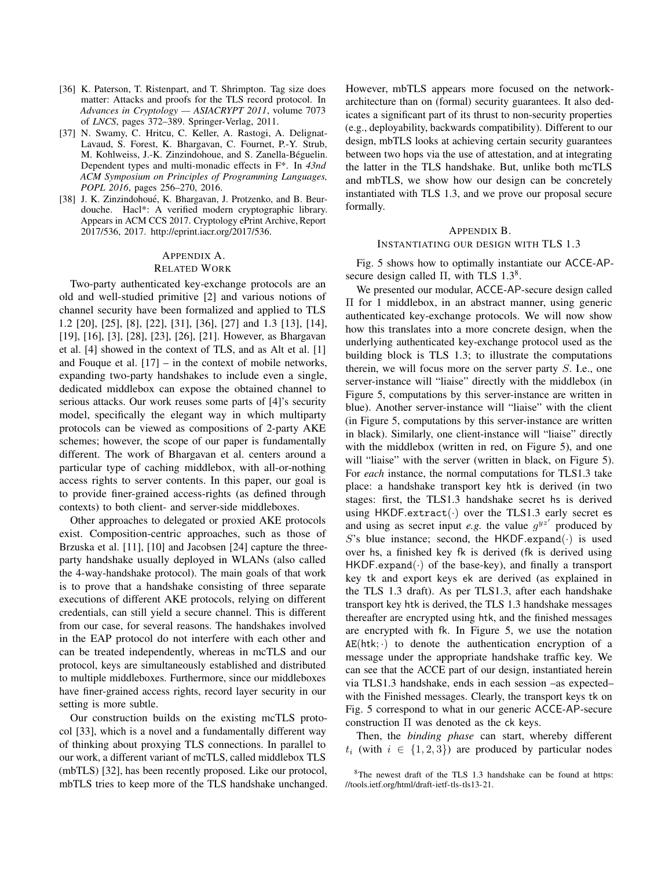- [36] K. Paterson, T. Ristenpart, and T. Shrimpton. Tag size does matter: Attacks and proofs for the TLS record protocol. In *Advances in Cryptology — ASIACRYPT 2011*, volume 7073 of *LNCS*, pages 372–389. Springer-Verlag, 2011.
- [37] N. Swamy, C. Hritcu, C. Keller, A. Rastogi, A. Delignat-Lavaud, S. Forest, K. Bhargavan, C. Fournet, P.-Y. Strub, M. Kohlweiss, J.-K. Zinzindohoue, and S. Zanella-Béguelin. Dependent types and multi-monadic effects in F\*. In *43nd ACM Symposium on Principles of Programming Languages, POPL 2016*, pages 256–270, 2016.
- [38] J. K. Zinzindohoué, K. Bhargavan, J. Protzenko, and B. Beurdouche. Hacl\*: A verified modern cryptographic library. Appears in ACM CCS 2017. Cryptology ePrint Archive, Report 2017/536, 2017. http://eprint.iacr.org/2017/536.

## APPENDIX A.

#### RELATED WORK

Two-party authenticated key-exchange protocols are an old and well-studied primitive [2] and various notions of channel security have been formalized and applied to TLS 1.2 [20], [25], [8], [22], [31], [36], [27] and 1.3 [13], [14], [19], [16], [3], [28], [23], [26], [21]. However, as Bhargavan et al. [4] showed in the context of TLS, and as Alt et al. [1] and Fouque et al.  $[17]$  – in the context of mobile networks, expanding two-party handshakes to include even a single, dedicated middlebox can expose the obtained channel to serious attacks. Our work reuses some parts of [4]'s security model, specifically the elegant way in which multiparty protocols can be viewed as compositions of 2-party AKE schemes; however, the scope of our paper is fundamentally different. The work of Bhargavan et al. centers around a particular type of caching middlebox, with all-or-nothing access rights to server contents. In this paper, our goal is to provide finer-grained access-rights (as defined through contexts) to both client- and server-side middleboxes.

Other approaches to delegated or proxied AKE protocols exist. Composition-centric approaches, such as those of Brzuska et al. [11], [10] and Jacobsen [24] capture the threeparty handshake usually deployed in WLANs (also called the 4-way-handshake protocol). The main goals of that work is to prove that a handshake consisting of three separate executions of different AKE protocols, relying on different credentials, can still yield a secure channel. This is different from our case, for several reasons. The handshakes involved in the EAP protocol do not interfere with each other and can be treated independently, whereas in mcTLS and our protocol, keys are simultaneously established and distributed to multiple middleboxes. Furthermore, since our middleboxes have finer-grained access rights, record layer security in our setting is more subtle.

Our construction builds on the existing mcTLS protocol [33], which is a novel and a fundamentally different way of thinking about proxying TLS connections. In parallel to our work, a different variant of mcTLS, called middlebox TLS (mbTLS) [32], has been recently proposed. Like our protocol, mbTLS tries to keep more of the TLS handshake unchanged.

However, mbTLS appears more focused on the networkarchitecture than on (formal) security guarantees. It also dedicates a significant part of its thrust to non-security properties (e.g., deployability, backwards compatibility). Different to our design, mbTLS looks at achieving certain security guarantees between two hops via the use of attestation, and at integrating the latter in the TLS handshake. But, unlike both mcTLS and mbTLS, we show how our design can be concretely instantiated with TLS 1.3, and we prove our proposal secure formally.

#### APPENDIX B.

## INSTANTIATING OUR DESIGN WITH TLS 1.3

Fig. 5 shows how to optimally instantiate our ACCE-APsecure design called  $\Pi$ , with TLS  $1.3^8$ .

We presented our modular, ACCE-AP-secure design called Π for 1 middlebox, in an abstract manner, using generic authenticated key-exchange protocols. We will now show how this translates into a more concrete design, when the underlying authenticated key-exchange protocol used as the building block is TLS 1.3; to illustrate the computations therein, we will focus more on the server party  $S$ . I.e., one server-instance will "liaise" directly with the middlebox (in Figure 5, computations by this server-instance are written in blue). Another server-instance will "liaise" with the client (in Figure 5, computations by this server-instance are written in black). Similarly, one client-instance will "liaise" directly with the middlebox (written in red, on Figure 5), and one will "liaise" with the server (written in black, on Figure 5). For *each* instance, the normal computations for TLS1.3 take place: a handshake transport key htk is derived (in two stages: first, the TLS1.3 handshake secret hs is derived using HKDF.extract $(\cdot)$  over the TLS1.3 early secret es and using as secret input *e.g.* the value  $g^{yz'}$  produced by S's blue instance; second, the HKDF.expand( $\cdot$ ) is used over hs, a finished key fk is derived (fk is derived using  $HKDF. expand(·)$  of the base-key), and finally a transport key tk and export keys ek are derived (as explained in the TLS 1.3 draft). As per TLS1.3, after each handshake transport key htk is derived, the TLS 1.3 handshake messages thereafter are encrypted using htk, and the finished messages are encrypted with fk. In Figure 5, we use the notation  $AE(ht; \cdot)$  to denote the authentication encryption of a message under the appropriate handshake traffic key. We can see that the ACCE part of our design, instantiated herein via TLS1.3 handshake, ends in each session –as expected– with the Finished messages. Clearly, the transport keys tk on Fig. 5 correspond to what in our generic ACCE-AP-secure construction Π was denoted as the ck keys.

Then, the *binding phase* can start, whereby different  $t_i$  (with  $i \in \{1,2,3\}$ ) are produced by particular nodes

<sup>8</sup>The newest draft of the TLS 1.3 handshake can be found at https: //tools.ietf.org/html/draft-ietf-tls-tls13-21.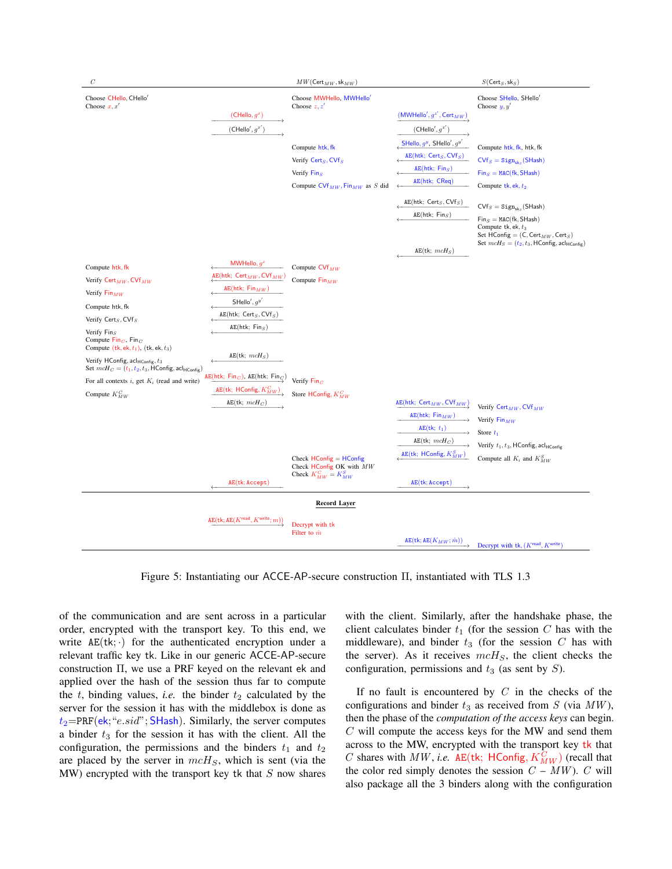

Figure 5: Instantiating our ACCE-AP-secure construction Π, instantiated with TLS 1.3

of the communication and are sent across in a particular order, encrypted with the transport key. To this end, we write  $AE(tk; \cdot)$  for the authenticated encryption under a relevant traffic key tk. Like in our generic ACCE-AP-secure construction Π, we use a PRF keyed on the relevant ek and applied over the hash of the session thus far to compute the t, binding values, *i.e.* the binder  $t_2$  calculated by the server for the session it has with the middlebox is done as  $t_2$ =PRF(ek; "*e.sid*"; SHash). Similarly, the server computes a binder  $t_3$  for the session it has with the client. All the configuration, the permissions and the binders  $t_1$  and  $t_2$ are placed by the server in  $mcH<sub>S</sub>$ , which is sent (via the MW) encrypted with the transport key tk that  $S$  now shares with the client. Similarly, after the handshake phase, the client calculates binder  $t_1$  (for the session C has with the middleware), and binder  $t_3$  (for the session C has with the server). As it receives  $mcH<sub>S</sub>$ , the client checks the configuration, permissions and  $t_3$  (as sent by  $S$ ).

If no fault is encountered by  $C$  in the checks of the configurations and binder  $t_3$  as received from S (via MW), then the phase of the *computation of the access keys* can begin. C will compute the access keys for the MW and send them across to the MW, encrypted with the transport key tk that C shares with  $MW$ , *i.e.* AE(tk; HConfig,  $K_{MW}^C$ ) (recall that the color red simply denotes the session  $C - MW$ ). C will also package all the 3 binders along with the configuration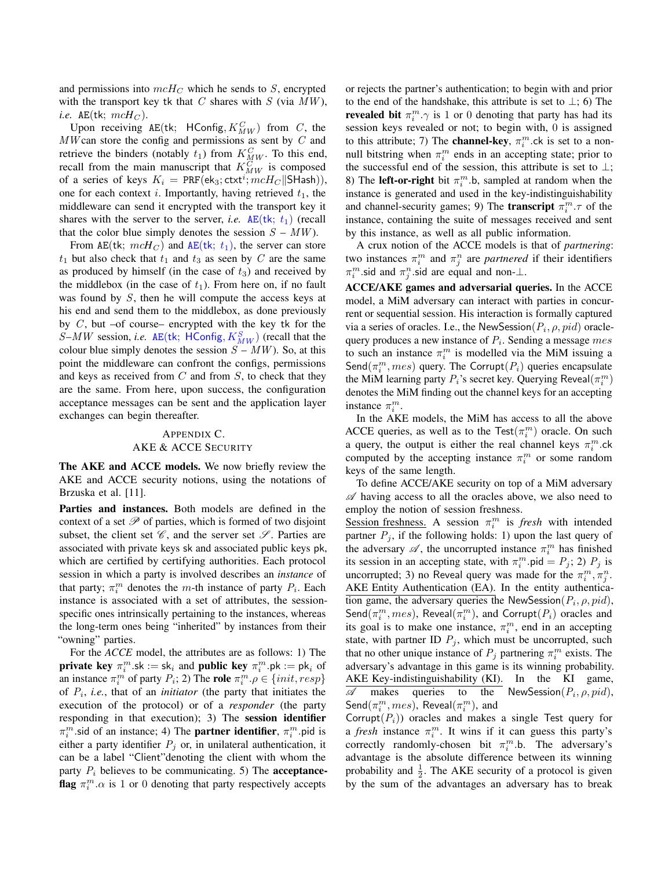and permissions into  $mcH_C$  which he sends to S, encrypted with the transport key tk that  $C$  shares with  $S$  (via  $MW$ ), *i.e.* AE(tk;  $mcH_C$ ).

Upon receiving  $AE$ (tk; HConfig,  $K_{MW}^C$ ) from C, the  $MW$  can store the config and permissions as sent by  $C$  and retrieve the binders (notably  $t_1$ ) from  $K_{MW}^C$ . To this end, recall from the main manuscript that  $K_{MW}^C$  is composed of a series of keys  $K_i = \text{PRF}(\text{ek}_3; \text{ctxt}^i; mcl_C || \text{SHash})),$ one for each context *i*. Importantly, having retrieved  $t_1$ , the middleware can send it encrypted with the transport key it shares with the server to the server, *i.e.* AE(tk;  $t_1$ ) (recall that the color blue simply denotes the session  $S - MW$ ).

From AE(tk;  $mcH_C$ ) and AE(tk; t<sub>1</sub>), the server can store  $t_1$  but also check that  $t_1$  and  $t_3$  as seen by C are the same as produced by himself (in the case of  $t_3$ ) and received by the middlebox (in the case of  $t_1$ ). From here on, if no fault was found by S, then he will compute the access keys at his end and send them to the middlebox, as done previously by  $C$ , but  $-$ of course– encrypted with the key tk for the  $S-MW$  session, *i.e.* AE(tk; HConfig,  $K_{MW}^S$ ) (recall that the colour blue simply denotes the session  $S - MW$ ). So, at this point the middleware can confront the configs, permissions and keys as received from  $C$  and from  $S$ , to check that they are the same. From here, upon success, the configuration acceptance messages can be sent and the application layer exchanges can begin thereafter.

## APPENDIX C. AKE & ACCE SECURITY

The AKE and ACCE models. We now briefly review the AKE and ACCE security notions, using the notations of Brzuska et al. [11].

Parties and instances. Both models are defined in the context of a set  $\mathscr P$  of parties, which is formed of two disjoint subset, the client set  $\mathscr{C}$ , and the server set  $\mathscr{S}$ . Parties are associated with private keys sk and associated public keys pk, which are certified by certifying authorities. Each protocol session in which a party is involved describes an *instance* of that party;  $\pi_i^m$  denotes the m-th instance of party  $P_i$ . Each instance is associated with a set of attributes, the sessionspecific ones intrinsically pertaining to the instances, whereas the long-term ones being "inherited" by instances from their "owning" parties.

For the *ACCE* model, the attributes are as follows: 1) The **private key**  $\pi_i^m$ .sk := sk<sub>i</sub> and **public key**  $\pi_i^m$ .pk := pk<sub>i</sub> of an instance  $\pi_i^m$  of party  $P_i$ ; 2) The **role**  $\pi_i^m \cdot \rho \in \{init, resp\}$ of P<sup>i</sup> , *i.e.*, that of an *initiator* (the party that initiates the execution of the protocol) or of a *responder* (the party responding in that execution); 3) The session identifier  $\pi_i^m$  sid of an instance; 4) The **partner identifier**,  $\pi_i^m$  pid is either a party identifier  $P_j$  or, in unilateral authentication, it can be a label "Client"denoting the client with whom the party  $P_i$  believes to be communicating. 5) The **acceptanceflag**  $\pi_i^m \alpha$  is 1 or 0 denoting that party respectively accepts or rejects the partner's authentication; to begin with and prior to the end of the handshake, this attribute is set to ⊥; 6) The **revealed bit**  $\pi_i^m \cdot \gamma$  is 1 or 0 denoting that party has had its session keys revealed or not; to begin with, 0 is assigned to this attribute; 7) The **channel-key**,  $\pi_i^m$  ck is set to a nonnull bitstring when  $\pi_i^m$  ends in an accepting state; prior to the successful end of the session, this attribute is set to  $\perp$ ; 8) The **left-or-right** bit  $\pi_i^m$ .b, sampled at random when the instance is generated and used in the key-indistinguishability and channel-security games; 9) The **transcript**  $\pi_i^m \tau$  of the instance, containing the suite of messages received and sent by this instance, as well as all public information.

A crux notion of the ACCE models is that of *partnering*: two instances  $\pi_i^m$  and  $\pi_j^n$  are *partnered* if their identifiers  $\pi_i^m$  sid and  $\pi_j^n$  sid are equal and non- $\perp$ .

ACCE/AKE games and adversarial queries. In the ACCE model, a MiM adversary can interact with parties in concurrent or sequential session. His interaction is formally captured via a series of oracles. I.e., the NewSession $(P_i, \rho, pid)$  oraclequery produces a new instance of  $P_i$ . Sending a message  $mes$ to such an instance  $\pi_i^m$  is modelled via the MiM issuing a Send $(\pi_i^m, mes)$  query. The Corrupt $(P_i)$  queries encapsulate the MiM learning party  $P_i$ 's secret key. Querying Reveal $(\pi^m_i)$ denotes the MiM finding out the channel keys for an accepting instance  $\pi_i^m$ .

In the AKE models, the MiM has access to all the above ACCE queries, as well as to the  $\text{Test}(\pi_i^m)$  oracle. On such a query, the output is either the real channel keys  $\pi_i^m$ .ck computed by the accepting instance  $\pi_i^m$  or some random keys of the same length.

To define ACCE/AKE security on top of a MiM adversary  $\mathscr A$  having access to all the oracles above, we also need to employ the notion of session freshness.

Session freshness. A session  $\pi_i^m$  is *fresh* with intended partner  $P_j$ , if the following holds: 1) upon the last query of the adversary  $\mathscr{A}$ , the uncorrupted instance  $\pi_i^m$  has finished its session in an accepting state, with  $\pi_i^m$  pid =  $P_j$ ; 2)  $P_j$  is uncorrupted; 3) no Reveal query was made for the  $\pi_i^m, \pi_j^n$ . AKE Entity Authentication (EA). In the entity authentication game, the adversary queries the NewSession $(P_i, \rho, pid)$ ,  $\mathsf{Send}(\pi^m_i, mes), \ \mathsf{Reveal}(\pi^m_i), \text{ and } \mathsf{Corrupt}(P_i) \text{ oracles and }$ its goal is to make one instance,  $\pi_i^m$ , end in an accepting state, with partner ID  $P_j$ , which must be uncorrupted, such that no other unique instance of  $P_j$  partnering  $\pi_i^m$  exists. The adversary's advantage in this game is its winning probability. AKE Key-indistinguishability (KI). In the KI game,  $\mathscr A$  makes queries to the NewSession $(P_i, \rho, pid)$ ,  $\mathsf{Send}(\pi^m_i, mes),\ \mathsf{Reveal}(\pi^m_i),\ \mathsf{and}$ 

Corrupt( $P_i$ )) oracles and makes a single Test query for a *fresh* instance  $\pi_i^m$ . It wins if it can guess this party's correctly randomly-chosen bit  $\pi_i^m$ .b. The adversary's advantage is the absolute difference between its winning probability and  $\frac{1}{2}$ . The AKE security of a protocol is given by the sum of the advantages an adversary has to break